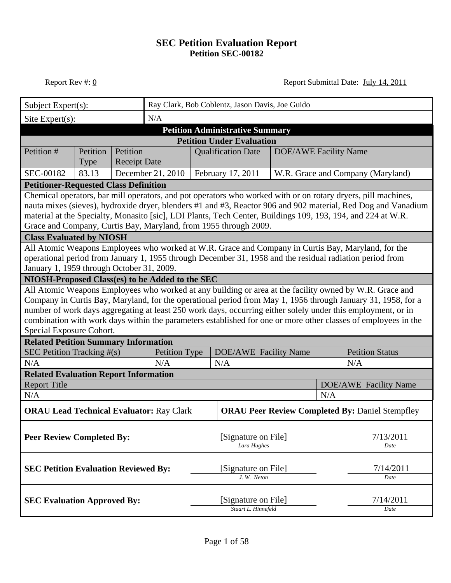### **SEC Petition Evaluation Report Petition SEC-00182**

Report Rev #: 0

|                                                                                                           | Ray Clark, Bob Coblentz, Jason Davis, Joe Guido<br>Subject Expert(s): |                     |                   |  |                                                                  |                              |                        |                                                                                                                |  |
|-----------------------------------------------------------------------------------------------------------|-----------------------------------------------------------------------|---------------------|-------------------|--|------------------------------------------------------------------|------------------------------|------------------------|----------------------------------------------------------------------------------------------------------------|--|
| Site Expert $(s)$ :                                                                                       |                                                                       |                     | N/A               |  |                                                                  |                              |                        |                                                                                                                |  |
|                                                                                                           | <b>Petition Administrative Summary</b>                                |                     |                   |  |                                                                  |                              |                        |                                                                                                                |  |
|                                                                                                           |                                                                       |                     |                   |  | <b>Petition Under Evaluation</b>                                 |                              |                        |                                                                                                                |  |
| Petition #                                                                                                | Petition                                                              | Petition            |                   |  | <b>Qualification Date</b>                                        | <b>DOE/AWE Facility Name</b> |                        |                                                                                                                |  |
|                                                                                                           | Type                                                                  | <b>Receipt Date</b> |                   |  |                                                                  |                              |                        |                                                                                                                |  |
| SEC-00182                                                                                                 | 83.13                                                                 |                     | December 21, 2010 |  | February 17, 2011                                                |                              |                        | W.R. Grace and Company (Maryland)                                                                              |  |
| <b>Petitioner-Requested Class Definition</b>                                                              |                                                                       |                     |                   |  |                                                                  |                              |                        |                                                                                                                |  |
|                                                                                                           |                                                                       |                     |                   |  |                                                                  |                              |                        | Chemical operators, bar mill operators, and pot operators who worked with or on rotary dryers, pill machines,  |  |
|                                                                                                           |                                                                       |                     |                   |  |                                                                  |                              |                        | nauta mixes (sieves), hydroxide dryer, blenders #1 and #3, Reactor 906 and 902 material, Red Dog and Vanadium  |  |
|                                                                                                           |                                                                       |                     |                   |  |                                                                  |                              |                        | material at the Specialty, Monasito [sic], LDI Plants, Tech Center, Buildings 109, 193, 194, and 224 at W.R.   |  |
|                                                                                                           |                                                                       |                     |                   |  | Grace and Company, Curtis Bay, Maryland, from 1955 through 2009. |                              |                        |                                                                                                                |  |
| <b>Class Evaluated by NIOSH</b>                                                                           |                                                                       |                     |                   |  |                                                                  |                              |                        |                                                                                                                |  |
|                                                                                                           |                                                                       |                     |                   |  |                                                                  |                              |                        | All Atomic Weapons Employees who worked at W.R. Grace and Company in Curtis Bay, Maryland, for the             |  |
|                                                                                                           |                                                                       |                     |                   |  |                                                                  |                              |                        | operational period from January 1, 1955 through December 31, 1958 and the residual radiation period from       |  |
| January 1, 1959 through October 31, 2009.                                                                 |                                                                       |                     |                   |  |                                                                  |                              |                        |                                                                                                                |  |
| NIOSH-Proposed Class(es) to be Added to the SEC                                                           |                                                                       |                     |                   |  |                                                                  |                              |                        |                                                                                                                |  |
|                                                                                                           |                                                                       |                     |                   |  |                                                                  |                              |                        | All Atomic Weapons Employees who worked at any building or area at the facility owned by W.R. Grace and        |  |
|                                                                                                           |                                                                       |                     |                   |  |                                                                  |                              |                        | Company in Curtis Bay, Maryland, for the operational period from May 1, 1956 through January 31, 1958, for a   |  |
|                                                                                                           |                                                                       |                     |                   |  |                                                                  |                              |                        | number of work days aggregating at least 250 work days, occurring either solely under this employment, or in   |  |
|                                                                                                           |                                                                       |                     |                   |  |                                                                  |                              |                        | combination with work days within the parameters established for one or more other classes of employees in the |  |
| Special Exposure Cohort.                                                                                  |                                                                       |                     |                   |  |                                                                  |                              |                        |                                                                                                                |  |
| <b>Related Petition Summary Information</b>                                                               |                                                                       |                     |                   |  |                                                                  |                              |                        |                                                                                                                |  |
| SEC Petition Tracking #(s)                                                                                |                                                                       |                     | Petition Type     |  | DOE/AWE Facility Name                                            |                              | <b>Petition Status</b> |                                                                                                                |  |
| N/A                                                                                                       |                                                                       |                     | N/A               |  | N/A                                                              |                              |                        | N/A                                                                                                            |  |
| <b>Related Evaluation Report Information</b>                                                              |                                                                       |                     |                   |  |                                                                  |                              |                        |                                                                                                                |  |
| <b>Report Title</b>                                                                                       |                                                                       |                     |                   |  |                                                                  |                              |                        | <b>DOE/AWE</b> Facility Name                                                                                   |  |
| N/A                                                                                                       |                                                                       |                     |                   |  |                                                                  |                              | N/A                    |                                                                                                                |  |
| <b>ORAU Lead Technical Evaluator: Ray Clark</b><br><b>ORAU Peer Review Completed By: Daniel Stempfley</b> |                                                                       |                     |                   |  |                                                                  |                              |                        |                                                                                                                |  |
|                                                                                                           | 7/13/2011<br>[Signature on File]<br><b>Peer Review Completed By:</b>  |                     |                   |  |                                                                  |                              |                        |                                                                                                                |  |
|                                                                                                           | Lara Hughes<br>Date                                                   |                     |                   |  |                                                                  |                              |                        |                                                                                                                |  |
|                                                                                                           |                                                                       |                     |                   |  |                                                                  |                              |                        |                                                                                                                |  |
| <b>SEC Petition Evaluation Reviewed By:</b>                                                               |                                                                       |                     |                   |  | [Signature on File]                                              |                              |                        | 7/14/2011                                                                                                      |  |
|                                                                                                           | J. W. Neton<br>Date                                                   |                     |                   |  |                                                                  |                              |                        |                                                                                                                |  |
|                                                                                                           |                                                                       |                     |                   |  |                                                                  |                              |                        |                                                                                                                |  |
| 7/14/2011<br><b>SEC Evaluation Approved By:</b><br>Signature on File                                      |                                                                       |                     |                   |  |                                                                  |                              |                        |                                                                                                                |  |
| Stuart L. Hinnefeld<br>Date                                                                               |                                                                       |                     |                   |  |                                                                  |                              |                        |                                                                                                                |  |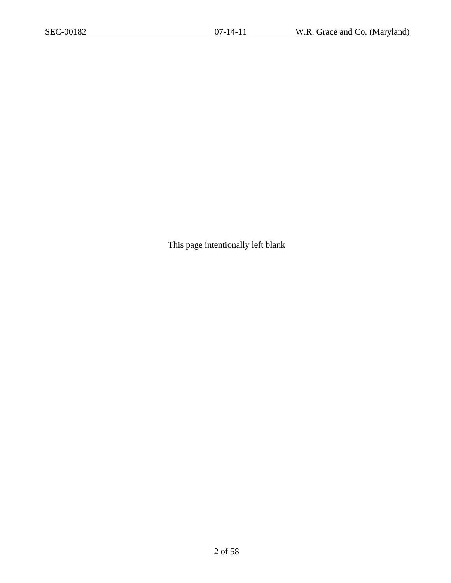This page intentionally left blank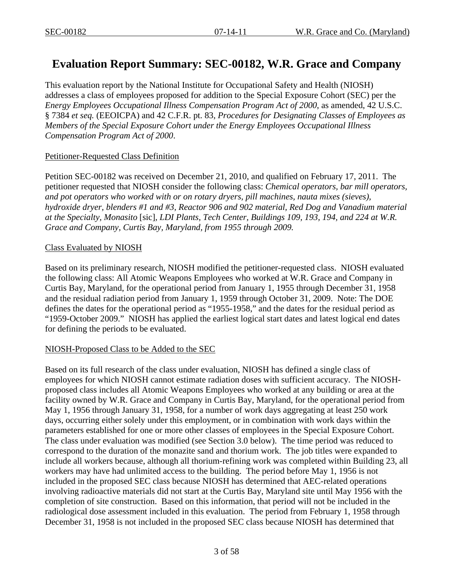# **Evaluation Report Summary: SEC-00182, W.R. Grace and Company**

This evaluation report by the National Institute for Occupational Safety and Health (NIOSH) addresses a class of employees proposed for addition to the Special Exposure Cohort (SEC) per the *Energy Employees Occupational Illness Compensation Program Act of 2000*, as amended, 42 U.S.C. § 7384 *et seq.* (EEOICPA) and 42 C.F.R. pt. 83, *Procedures for Designating Classes of Employees as Members of the Special Exposure Cohort under the Energy Employees Occupational Illness Compensation Program Act of 2000*.

#### Petitioner-Requested Class Definition

Petition SEC-00182 was received on December 21, 2010, and qualified on February 17, 2011. The petitioner requested that NIOSH consider the following class: *Chemical operators, bar mill operators, and pot operators who worked with or on rotary dryers, pill machines, nauta mixes (sieves), hydroxide dryer, blenders #1 and #3, Reactor 906 and 902 material, Red Dog and Vanadium material at the Specialty, Monasito* [sic]*, LDI Plants, Tech Center, Buildings 109, 193, 194, and 224 at W.R. Grace and Company, Curtis Bay, Maryland, from 1955 through 2009.*

#### Class Evaluated by NIOSH

Based on its preliminary research, NIOSH modified the petitioner-requested class. NIOSH evaluated the following class: All Atomic Weapons Employees who worked at W.R. Grace and Company in Curtis Bay, Maryland, for the operational period from January 1, 1955 through December 31, 1958 and the residual radiation period from January 1, 1959 through October 31, 2009. Note: The DOE defines the dates for the operational period as "1955-1958," and the dates for the residual period as "1959-October 2009." NIOSH has applied the earliest logical start dates and latest logical end dates for defining the periods to be evaluated.

#### NIOSH-Proposed Class to be Added to the SEC

Based on its full research of the class under evaluation, NIOSH has defined a single class of employees for which NIOSH cannot estimate radiation doses with sufficient accuracy. The NIOSHproposed class includes all Atomic Weapons Employees who worked at any building or area at the facility owned by W.R. Grace and Company in Curtis Bay, Maryland, for the operational period from May 1, 1956 through January 31, 1958, for a number of work days aggregating at least 250 work days, occurring either solely under this employment, or in combination with work days within the parameters established for one or more other classes of employees in the Special Exposure Cohort. The class under evaluation was modified (see Section 3.0 below). The time period was reduced to correspond to the duration of the monazite sand and thorium work. The job titles were expanded to include all workers because, although all thorium-refining work was completed within Building 23, all workers may have had unlimited access to the building. The period before May 1, 1956 is not included in the proposed SEC class because NIOSH has determined that AEC-related operations involving radioactive materials did not start at the Curtis Bay, Maryland site until May 1956 with the completion of site construction. Based on this information, that period will not be included in the radiological dose assessment included in this evaluation. The period from February 1, 1958 through December 31, 1958 is not included in the proposed SEC class because NIOSH has determined that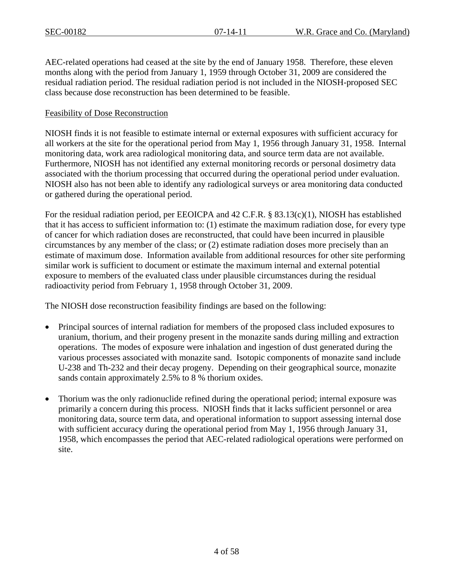AEC-related operations had ceased at the site by the end of January 1958. Therefore, these eleven months along with the period from January 1, 1959 through October 31, 2009 are considered the residual radiation period. The residual radiation period is not included in the NIOSH-proposed SEC class because dose reconstruction has been determined to be feasible.

#### Feasibility of Dose Reconstruction

NIOSH finds it is not feasible to estimate internal or external exposures with sufficient accuracy for all workers at the site for the operational period from May 1, 1956 through January 31, 1958. Internal monitoring data, work area radiological monitoring data, and source term data are not available. Furthermore, NIOSH has not identified any external monitoring records or personal dosimetry data associated with the thorium processing that occurred during the operational period under evaluation. NIOSH also has not been able to identify any radiological surveys or area monitoring data conducted or gathered during the operational period.

For the residual radiation period, per EEOICPA and 42 C.F.R. § 83.13(c)(1), NIOSH has established that it has access to sufficient information to: (1) estimate the maximum radiation dose, for every type of cancer for which radiation doses are reconstructed, that could have been incurred in plausible circumstances by any member of the class; or (2) estimate radiation doses more precisely than an estimate of maximum dose. Information available from additional resources for other site performing similar work is sufficient to document or estimate the maximum internal and external potential exposure to members of the evaluated class under plausible circumstances during the residual radioactivity period from February 1, 1958 through October 31, 2009.

The NIOSH dose reconstruction feasibility findings are based on the following:

- Principal sources of internal radiation for members of the proposed class included exposures to uranium, thorium, and their progeny present in the monazite sands during milling and extraction operations. The modes of exposure were inhalation and ingestion of dust generated during the various processes associated with monazite sand. Isotopic components of monazite sand include U-238 and Th-232 and their decay progeny. Depending on their geographical source, monazite sands contain approximately 2.5% to 8 % thorium oxides.
- Thorium was the only radionuclide refined during the operational period; internal exposure was primarily a concern during this process. NIOSH finds that it lacks sufficient personnel or area monitoring data, source term data, and operational information to support assessing internal dose with sufficient accuracy during the operational period from May 1, 1956 through January 31, 1958, which encompasses the period that AEC-related radiological operations were performed on site.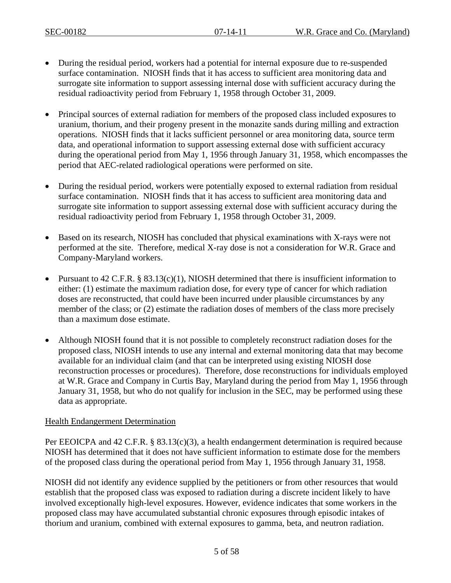- During the residual period, workers had a potential for internal exposure due to re-suspended surface contamination. NIOSH finds that it has access to sufficient area monitoring data and surrogate site information to support assessing internal dose with sufficient accuracy during the residual radioactivity period from February 1, 1958 through October 31, 2009.
- Principal sources of external radiation for members of the proposed class included exposures to uranium, thorium, and their progeny present in the monazite sands during milling and extraction operations. NIOSH finds that it lacks sufficient personnel or area monitoring data, source term data, and operational information to support assessing external dose with sufficient accuracy during the operational period from May 1, 1956 through January 31, 1958, which encompasses the period that AEC-related radiological operations were performed on site.
- During the residual period, workers were potentially exposed to external radiation from residual surface contamination. NIOSH finds that it has access to sufficient area monitoring data and surrogate site information to support assessing external dose with sufficient accuracy during the residual radioactivity period from February 1, 1958 through October 31, 2009.
- Based on its research, NIOSH has concluded that physical examinations with X-rays were not performed at the site. Therefore, medical X-ray dose is not a consideration for W.R. Grace and Company-Maryland workers.
- Pursuant to  $42$  C.F.R. §  $83.13(c)(1)$ , NIOSH determined that there is insufficient information to either: (1) estimate the maximum radiation dose, for every type of cancer for which radiation doses are reconstructed, that could have been incurred under plausible circumstances by any member of the class; or (2) estimate the radiation doses of members of the class more precisely than a maximum dose estimate.
- Although NIOSH found that it is not possible to completely reconstruct radiation doses for the proposed class, NIOSH intends to use any internal and external monitoring data that may become available for an individual claim (and that can be interpreted using existing NIOSH dose reconstruction processes or procedures). Therefore, dose reconstructions for individuals employed at W.R. Grace and Company in Curtis Bay, Maryland during the period from May 1, 1956 through January 31, 1958, but who do not qualify for inclusion in the SEC, may be performed using these data as appropriate.

#### Health Endangerment Determination

Per EEOICPA and 42 C.F.R. § 83.13(c)(3), a health endangerment determination is required because NIOSH has determined that it does not have sufficient information to estimate dose for the members of the proposed class during the operational period from May 1, 1956 through January 31, 1958.

NIOSH did not identify any evidence supplied by the petitioners or from other resources that would establish that the proposed class was exposed to radiation during a discrete incident likely to have involved exceptionally high-level exposures. However, evidence indicates that some workers in the proposed class may have accumulated substantial chronic exposures through episodic intakes of thorium and uranium, combined with external exposures to gamma, beta, and neutron radiation.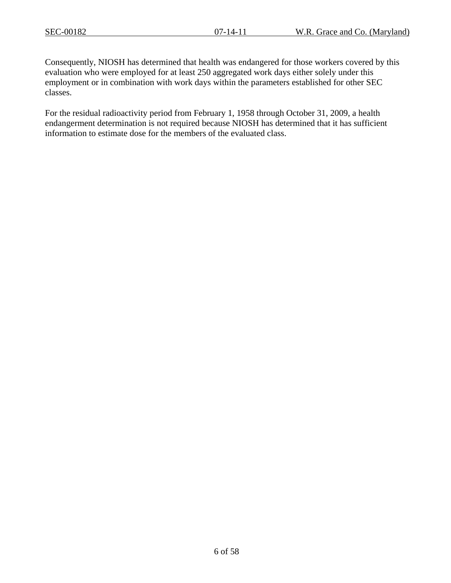Consequently, NIOSH has determined that health was endangered for those workers covered by this evaluation who were employed for at least 250 aggregated work days either solely under this employment or in combination with work days within the parameters established for other SEC classes.

For the residual radioactivity period from February 1, 1958 through October 31, 2009, a health endangerment determination is not required because NIOSH has determined that it has sufficient information to estimate dose for the members of the evaluated class.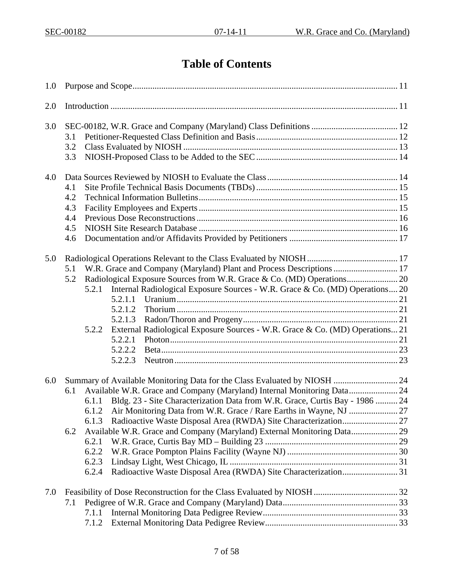# **Table of Contents**

| 1.0 |                                                         |                                                                                                                                                                                                                                                                                                                |
|-----|---------------------------------------------------------|----------------------------------------------------------------------------------------------------------------------------------------------------------------------------------------------------------------------------------------------------------------------------------------------------------------|
| 2.0 |                                                         |                                                                                                                                                                                                                                                                                                                |
| 3.0 | 3.1<br>3.2<br>3.3                                       |                                                                                                                                                                                                                                                                                                                |
| 4.0 | 4.1<br>4.2<br>4.3<br>4.4<br>4.5<br>4.6                  |                                                                                                                                                                                                                                                                                                                |
| 5.0 | 5.1<br>5.2<br>5.2.2                                     | Internal Radiological Exposure Sources - W.R. Grace & Co. (MD) Operations 20<br>5.2.1<br>5.2.1.1<br>5.2.1.2<br>5.2.1.3<br>External Radiological Exposure Sources - W.R. Grace & Co. (MD) Operations 21<br>5.2.2.1<br>5.2.2.2<br>5.2.2.3                                                                        |
| 6.0 | 6.1<br>6.1.1<br>6.2<br>6.2.1<br>6.2.2<br>6.2.3<br>6.2.4 | Available W.R. Grace and Company (Maryland) Internal Monitoring Data 24<br>Bldg. 23 - Site Characterization Data from W.R. Grace, Curtis Bay - 1986  24<br>6.1.2 Air Monitoring Data from W.R. Grace / Rare Earths in Wayne, NJ  27<br>Available W.R. Grace and Company (Maryland) External Monitoring Data 29 |
| 7.0 | 7.1<br>7.1.1                                            | 7.1.2                                                                                                                                                                                                                                                                                                          |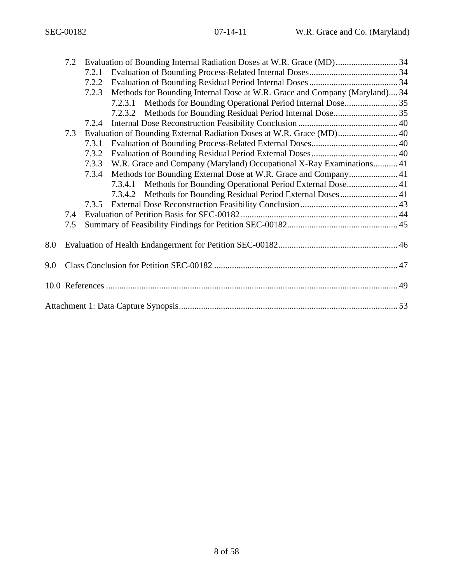|     |     |       | 7.2 Evaluation of Bounding Internal Radiation Doses at W.R. Grace (MD) 34  |  |  |  |  |  |
|-----|-----|-------|----------------------------------------------------------------------------|--|--|--|--|--|
|     |     | 7.2.1 |                                                                            |  |  |  |  |  |
|     |     | 7.2.2 |                                                                            |  |  |  |  |  |
|     |     | 7.2.3 | Methods for Bounding Internal Dose at W.R. Grace and Company (Maryland) 34 |  |  |  |  |  |
|     |     |       |                                                                            |  |  |  |  |  |
|     |     |       |                                                                            |  |  |  |  |  |
|     |     | 7.2.4 |                                                                            |  |  |  |  |  |
|     | 7.3 |       | Evaluation of Bounding External Radiation Doses at W.R. Grace (MD) 40      |  |  |  |  |  |
|     |     | 7.3.1 |                                                                            |  |  |  |  |  |
|     |     | 7.3.2 |                                                                            |  |  |  |  |  |
|     |     | 7.3.3 | W.R. Grace and Company (Maryland) Occupational X-Ray Examinations 41       |  |  |  |  |  |
|     |     | 7.3.4 | Methods for Bounding External Dose at W.R. Grace and Company 41            |  |  |  |  |  |
|     |     |       | 7.3.4.1 Methods for Bounding Operational Period External Dose 41           |  |  |  |  |  |
|     |     |       | 7.3.4.2 Methods for Bounding Residual Period External Doses 41             |  |  |  |  |  |
|     |     | 7.3.5 |                                                                            |  |  |  |  |  |
|     | 7.4 |       |                                                                            |  |  |  |  |  |
|     | 7.5 |       |                                                                            |  |  |  |  |  |
|     |     |       |                                                                            |  |  |  |  |  |
| 0.8 |     |       |                                                                            |  |  |  |  |  |
|     |     |       |                                                                            |  |  |  |  |  |
| 9.0 |     |       |                                                                            |  |  |  |  |  |
|     |     |       |                                                                            |  |  |  |  |  |
|     |     |       |                                                                            |  |  |  |  |  |
|     |     |       |                                                                            |  |  |  |  |  |
|     |     |       |                                                                            |  |  |  |  |  |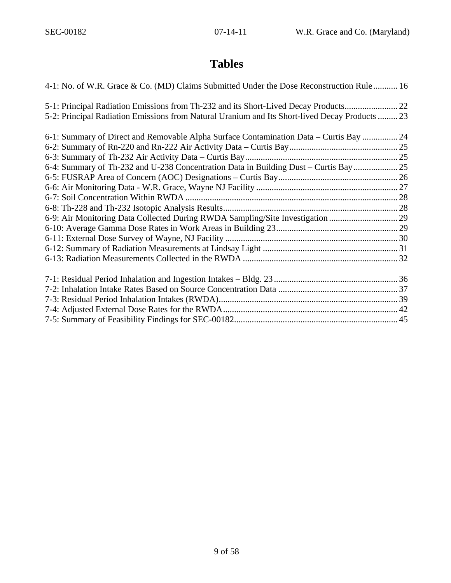# **Tables**

| 4-1: No. of W.R. Grace & Co. (MD) Claims Submitted Under the Dose Reconstruction Rule 16                                                                                               |  |
|----------------------------------------------------------------------------------------------------------------------------------------------------------------------------------------|--|
| 5-1: Principal Radiation Emissions from Th-232 and its Short-Lived Decay Products 22<br>5-2: Principal Radiation Emissions from Natural Uranium and Its Short-lived Decay Products  23 |  |
| 6-1: Summary of Direct and Removable Alpha Surface Contamination Data – Curtis Bay  24                                                                                                 |  |
|                                                                                                                                                                                        |  |
|                                                                                                                                                                                        |  |
| 6-4: Summary of Th-232 and U-238 Concentration Data in Building Dust – Curtis Bay                                                                                                      |  |
|                                                                                                                                                                                        |  |
|                                                                                                                                                                                        |  |
|                                                                                                                                                                                        |  |
|                                                                                                                                                                                        |  |
| 6-9: Air Monitoring Data Collected During RWDA Sampling/Site Investigation  29                                                                                                         |  |
|                                                                                                                                                                                        |  |
|                                                                                                                                                                                        |  |
|                                                                                                                                                                                        |  |
|                                                                                                                                                                                        |  |
|                                                                                                                                                                                        |  |
|                                                                                                                                                                                        |  |
|                                                                                                                                                                                        |  |
|                                                                                                                                                                                        |  |
|                                                                                                                                                                                        |  |
|                                                                                                                                                                                        |  |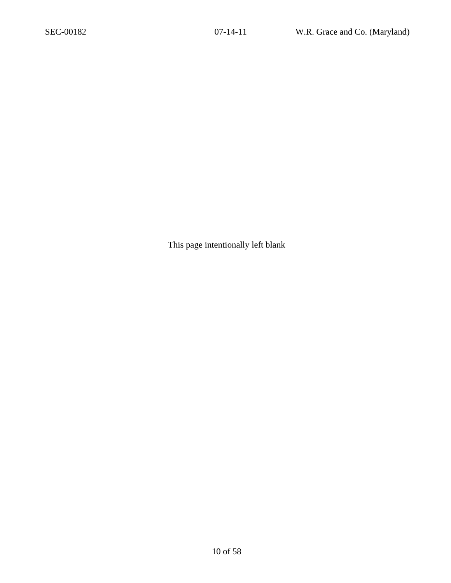This page intentionally left blank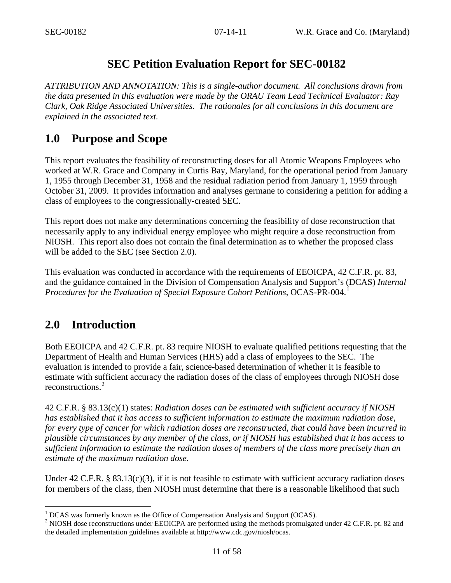# **SEC Petition Evaluation Report for SEC-00182**

<span id="page-10-0"></span>*ATTRIBUTION AND ANNOTATION: This is a single-author document. All conclusions drawn from the data presented in this evaluation were made by the ORAU Team Lead Technical Evaluator: Ray Clark, Oak Ridge Associated Universities. The rationales for all conclusions in this document are explained in the associated text.*

# **1.0 Purpose and Scope**

This report evaluates the feasibility of reconstructing doses for all Atomic Weapons Employees who worked at W.R. Grace and Company in Curtis Bay, Maryland, for the operational period from January 1, 1955 through December 31, 1958 and the residual radiation period from January 1, 1959 through October 31, 2009. It provides information and analyses germane to considering a petition for adding a class of employees to the congressionally-created SEC.

This report does not make any determinations concerning the feasibility of dose reconstruction that necessarily apply to any individual energy employee who might require a dose reconstruction from NIOSH. This report also does not contain the final determination as to whether the proposed class will be added to the SEC (see Section 2.0).

This evaluation was conducted in accordance with the requirements of EEOICPA, 42 C.F.R. pt. 83, and the guidance contained in the Division of Compensation Analysis and Support's (DCAS) *Internal Procedures for the Evaluation of Special Exposure Cohort Petitions, OCAS-PR-004.*<sup>[1](#page-10-0)</sup>

# **2.0 Introduction**

Both EEOICPA and 42 C.F.R. pt. 83 require NIOSH to evaluate qualified petitions requesting that the Department of Health and Human Services (HHS) add a class of employees to the SEC. The evaluation is intended to provide a fair, science-based determination of whether it is feasible to estimate with sufficient accuracy the radiation doses of the class of employees through NIOSH dose reconstructions.<sup>[2](#page-10-0)</sup>

42 C.F.R. § 83.13(c)(1) states: *Radiation doses can be estimated with sufficient accuracy if NIOSH has established that it has access to sufficient information to estimate the maximum radiation dose, for every type of cancer for which radiation doses are reconstructed, that could have been incurred in plausible circumstances by any member of the class, or if NIOSH has established that it has access to sufficient information to estimate the radiation doses of members of the class more precisely than an estimate of the maximum radiation dose.*

Under 42 C.F.R. § 83.13(c)(3), if it is not feasible to estimate with sufficient accuracy radiation doses for members of the class, then NIOSH must determine that there is a reasonable likelihood that such

 1 DCAS was formerly known as the Office of Compensation Analysis and Support (OCAS).

<sup>&</sup>lt;sup>2</sup> NIOSH dose reconstructions under EEOICPA are performed using the methods promulgated under 42 C.F.R. pt. 82 and the detailed implementation guidelines available at http://www.cdc.gov/niosh/ocas.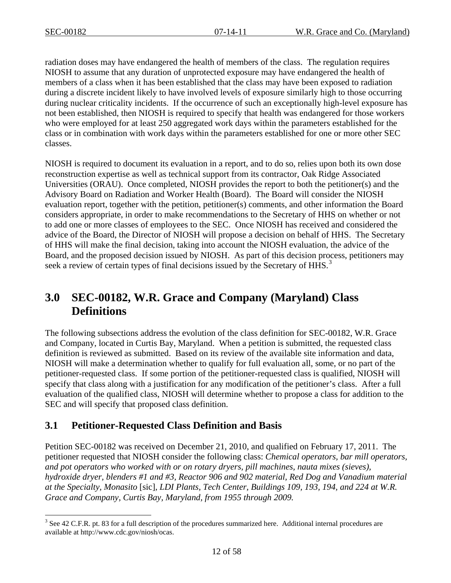$\overline{a}$ 

<span id="page-11-0"></span>radiation doses may have endangered the health of members of the class. The regulation requires NIOSH to assume that any duration of unprotected exposure may have endangered the health of members of a class when it has been established that the class may have been exposed to radiation during a discrete incident likely to have involved levels of exposure similarly high to those occurring during nuclear criticality incidents. If the occurrence of such an exceptionally high-level exposure has not been established, then NIOSH is required to specify that health was endangered for those workers who were employed for at least 250 aggregated work days within the parameters established for the class or in combination with work days within the parameters established for one or more other SEC classes.

NIOSH is required to document its evaluation in a report, and to do so, relies upon both its own dose reconstruction expertise as well as technical support from its contractor, Oak Ridge Associated Universities (ORAU). Once completed, NIOSH provides the report to both the petitioner(s) and the Advisory Board on Radiation and Worker Health (Board). The Board will consider the NIOSH evaluation report, together with the petition, petitioner(s) comments, and other information the Board considers appropriate, in order to make recommendations to the Secretary of HHS on whether or not to add one or more classes of employees to the SEC. Once NIOSH has received and considered the advice of the Board, the Director of NIOSH will propose a decision on behalf of HHS. The Secretary of HHS will make the final decision, taking into account the NIOSH evaluation, the advice of the Board, and the proposed decision issued by NIOSH. As part of this decision process, petitioners may seek a review of certain types of final decisions issued by the Secretary of HHS.<sup>[3](#page-11-0)</sup>

# **3.0 SEC-00182, W.R. Grace and Company (Maryland) Class Definitions**

The following subsections address the evolution of the class definition for SEC-00182, W.R. Grace and Company, located in Curtis Bay, Maryland. When a petition is submitted, the requested class definition is reviewed as submitted. Based on its review of the available site information and data, NIOSH will make a determination whether to qualify for full evaluation all, some, or no part of the petitioner-requested class. If some portion of the petitioner-requested class is qualified, NIOSH will specify that class along with a justification for any modification of the petitioner's class. After a full evaluation of the qualified class, NIOSH will determine whether to propose a class for addition to the SEC and will specify that proposed class definition.

## **3.1 Petitioner-Requested Class Definition and Basis**

Petition SEC-00182 was received on December 21, 2010, and qualified on February 17, 2011. The petitioner requested that NIOSH consider the following class: *Chemical operators, bar mill operators, and pot operators who worked with or on rotary dryers, pill machines, nauta mixes (sieves), hydroxide dryer, blenders #1 and #3, Reactor 906 and 902 material, Red Dog and Vanadium material at the Specialty, Monasito* [sic]*, LDI Plants, Tech Center, Buildings 109, 193, 194, and 224 at W.R. Grace and Company, Curtis Bay, Maryland, from 1955 through 2009.*

 $3$  See 42 C.F.R. pt. 83 for a full description of the procedures summarized here. Additional internal procedures are available at http://www.cdc.gov/niosh/ocas.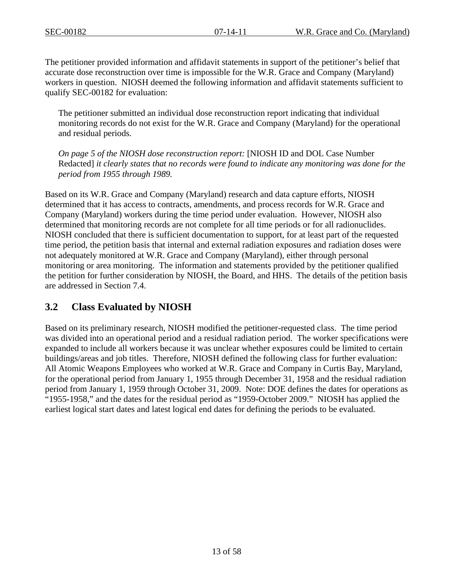<span id="page-12-0"></span>The petitioner provided information and affidavit statements in support of the petitioner's belief that accurate dose reconstruction over time is impossible for the W.R. Grace and Company (Maryland) workers in question. NIOSH deemed the following information and affidavit statements sufficient to qualify SEC-00182 for evaluation:

The petitioner submitted an individual dose reconstruction report indicating that individual monitoring records do not exist for the W.R. Grace and Company (Maryland) for the operational and residual periods.

*On page 5 of the NIOSH dose reconstruction report:* [NIOSH ID and DOL Case Number Redacted] *it clearly states that no records were found to indicate any monitoring was done for the period from 1955 through 1989.* 

Based on its W.R. Grace and Company (Maryland) research and data capture efforts, NIOSH determined that it has access to contracts, amendments, and process records for W.R. Grace and Company (Maryland) workers during the time period under evaluation. However, NIOSH also determined that monitoring records are not complete for all time periods or for all radionuclides. NIOSH concluded that there is sufficient documentation to support, for at least part of the requested time period, the petition basis that internal and external radiation exposures and radiation doses were not adequately monitored at W.R. Grace and Company (Maryland), either through personal monitoring or area monitoring. The information and statements provided by the petitioner qualified the petition for further consideration by NIOSH, the Board, and HHS. The details of the petition basis are addressed in Section 7.4.

## **3.2 Class Evaluated by NIOSH**

Based on its preliminary research, NIOSH modified the petitioner-requested class. The time period was divided into an operational period and a residual radiation period. The worker specifications were expanded to include all workers because it was unclear whether exposures could be limited to certain buildings/areas and job titles. Therefore, NIOSH defined the following class for further evaluation: All Atomic Weapons Employees who worked at W.R. Grace and Company in Curtis Bay, Maryland, for the operational period from January 1, 1955 through December 31, 1958 and the residual radiation period from January 1, 1959 through October 31, 2009. Note: DOE defines the dates for operations as "1955-1958," and the dates for the residual period as "1959-October 2009." NIOSH has applied the earliest logical start dates and latest logical end dates for defining the periods to be evaluated.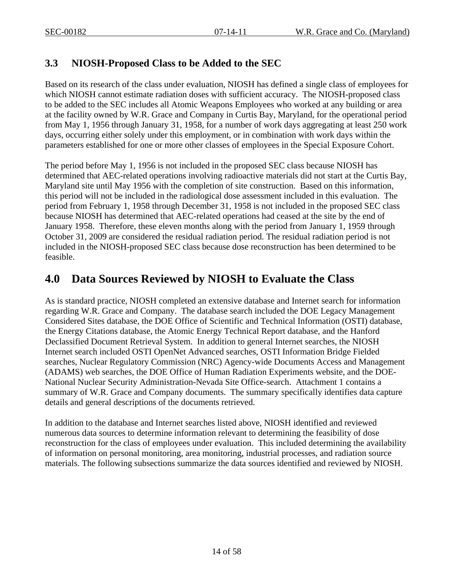## <span id="page-13-0"></span>**3.3 NIOSH-Proposed Class to be Added to the SEC**

Based on its research of the class under evaluation, NIOSH has defined a single class of employees for which NIOSH cannot estimate radiation doses with sufficient accuracy. The NIOSH-proposed class to be added to the SEC includes all Atomic Weapons Employees who worked at any building or area at the facility owned by W.R. Grace and Company in Curtis Bay, Maryland, for the operational period from May 1, 1956 through January 31, 1958, for a number of work days aggregating at least 250 work days, occurring either solely under this employment, or in combination with work days within the parameters established for one or more other classes of employees in the Special Exposure Cohort.

The period before May 1, 1956 is not included in the proposed SEC class because NIOSH has determined that AEC-related operations involving radioactive materials did not start at the Curtis Bay, Maryland site until May 1956 with the completion of site construction. Based on this information, this period will not be included in the radiological dose assessment included in this evaluation. The period from February 1, 1958 through December 31, 1958 is not included in the proposed SEC class because NIOSH has determined that AEC-related operations had ceased at the site by the end of January 1958. Therefore, these eleven months along with the period from January 1, 1959 through October 31, 2009 are considered the residual radiation period. The residual radiation period is not included in the NIOSH-proposed SEC class because dose reconstruction has been determined to be feasible.

# **4.0 Data Sources Reviewed by NIOSH to Evaluate the Class**

As is standard practice, NIOSH completed an extensive database and Internet search for information regarding W.R. Grace and Company. The database search included the DOE Legacy Management Considered Sites database, the DOE Office of Scientific and Technical Information (OSTI) database, the Energy Citations database, the Atomic Energy Technical Report database, and the Hanford Declassified Document Retrieval System. In addition to general Internet searches, the NIOSH Internet search included OSTI OpenNet Advanced searches, OSTI Information Bridge Fielded searches, Nuclear Regulatory Commission (NRC) Agency-wide Documents Access and Management (ADAMS) web searches, the DOE Office of Human Radiation Experiments website, and the DOE-National Nuclear Security Administration-Nevada Site Office-search. Attachment 1 contains a summary of W.R. Grace and Company documents. The summary specifically identifies data capture details and general descriptions of the documents retrieved.

In addition to the database and Internet searches listed above, NIOSH identified and reviewed numerous data sources to determine information relevant to determining the feasibility of dose reconstruction for the class of employees under evaluation. This included determining the availability of information on personal monitoring, area monitoring, industrial processes, and radiation source materials. The following subsections summarize the data sources identified and reviewed by NIOSH.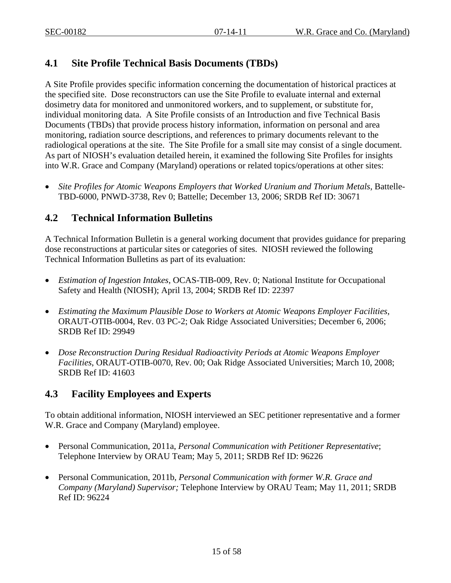## <span id="page-14-0"></span>**4.1 Site Profile Technical Basis Documents (TBDs)**

A Site Profile provides specific information concerning the documentation of historical practices at the specified site. Dose reconstructors can use the Site Profile to evaluate internal and external dosimetry data for monitored and unmonitored workers, and to supplement, or substitute for, individual monitoring data. A Site Profile consists of an Introduction and five Technical Basis Documents (TBDs) that provide process history information, information on personal and area monitoring, radiation source descriptions, and references to primary documents relevant to the radiological operations at the site. The Site Profile for a small site may consist of a single document. As part of NIOSH's evaluation detailed herein, it examined the following Site Profiles for insights into W.R. Grace and Company (Maryland) operations or related topics/operations at other sites:

• Site Profiles for Atomic Weapons Employers that Worked Uranium and Thorium Metals, Battelle-TBD-6000, PNWD-3738, Rev 0; Battelle; December 13, 2006; SRDB Ref ID: 30671

## **4.2 Technical Information Bulletins**

A Technical Information Bulletin is a general working document that provides guidance for preparing dose reconstructions at particular sites or categories of sites. NIOSH reviewed the following Technical Information Bulletins as part of its evaluation:

- *Estimation of Ingestion Intakes*, OCAS-TIB-009, Rev. 0; National Institute for Occupational Safety and Health (NIOSH); April 13, 2004; SRDB Ref ID: 22397
- *Estimating the Maximum Plausible Dose to Workers at Atomic Weapons Employer Facilities*, ORAUT-OTIB-0004, Rev. 03 PC-2; Oak Ridge Associated Universities; December 6, 2006; SRDB Ref ID: 29949
- *Dose Reconstruction During Residual Radioactivity Periods at Atomic Weapons Employer Facilities*, ORAUT-OTIB-0070, Rev. 00; Oak Ridge Associated Universities; March 10, 2008; SRDB Ref ID: 41603

## **4.3 Facility Employees and Experts**

To obtain additional information, NIOSH interviewed an SEC petitioner representative and a former W.R. Grace and Company (Maryland) employee.

- Personal Communication, 2011a, *Personal Communication with Petitioner Representative*; Telephone Interview by ORAU Team; May 5, 2011; SRDB Ref ID: 96226
- Personal Communication, 2011b, *Personal Communication with former W.R. Grace and Company (Maryland) Supervisor;* Telephone Interview by ORAU Team; May 11, 2011; SRDB Ref ID: 96224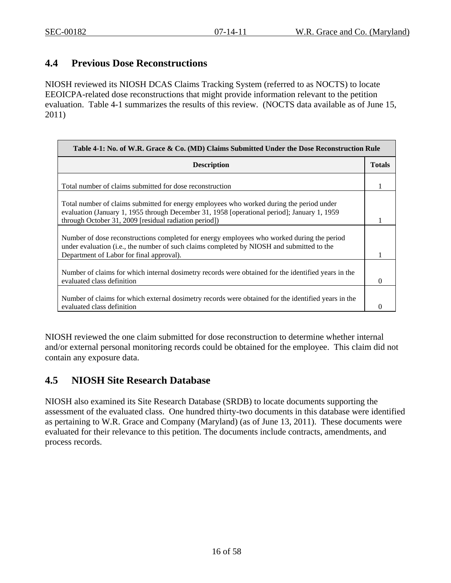## <span id="page-15-0"></span>**4.4 Previous Dose Reconstructions**

NIOSH reviewed its NIOSH DCAS Claims Tracking System (referred to as NOCTS) to locate EEOICPA-related dose reconstructions that might provide information relevant to the petition evaluation. Table 4-1 summarizes the results of this review. (NOCTS data available as of June 15, 2011)

| Table 4-1: No. of W.R. Grace & Co. (MD) Claims Submitted Under the Dose Reconstruction Rule                                                                                                                                                      |               |  |  |  |  |
|--------------------------------------------------------------------------------------------------------------------------------------------------------------------------------------------------------------------------------------------------|---------------|--|--|--|--|
| <b>Description</b>                                                                                                                                                                                                                               | <b>Totals</b> |  |  |  |  |
| Total number of claims submitted for dose reconstruction                                                                                                                                                                                         |               |  |  |  |  |
| Total number of claims submitted for energy employees who worked during the period under<br>evaluation (January 1, 1955 through December 31, 1958 [operational period]; January 1, 1959<br>through October 31, 2009 [residual radiation period]) |               |  |  |  |  |
| Number of dose reconstructions completed for energy employees who worked during the period<br>under evaluation (i.e., the number of such claims completed by NIOSH and submitted to the<br>Department of Labor for final approval).              |               |  |  |  |  |
| Number of claims for which internal dosimetry records were obtained for the identified years in the<br>evaluated class definition                                                                                                                |               |  |  |  |  |
| Number of claims for which external dosimetry records were obtained for the identified years in the<br>evaluated class definition                                                                                                                |               |  |  |  |  |

NIOSH reviewed the one claim submitted for dose reconstruction to determine whether internal and/or external personal monitoring records could be obtained for the employee. This claim did not contain any exposure data.

## **4.5 NIOSH Site Research Database**

NIOSH also examined its Site Research Database (SRDB) to locate documents supporting the assessment of the evaluated class. One hundred thirty-two documents in this database were identified as pertaining to W.R. Grace and Company (Maryland) (as of June 13, 2011). These documents were evaluated for their relevance to this petition. The documents include contracts, amendments, and process records.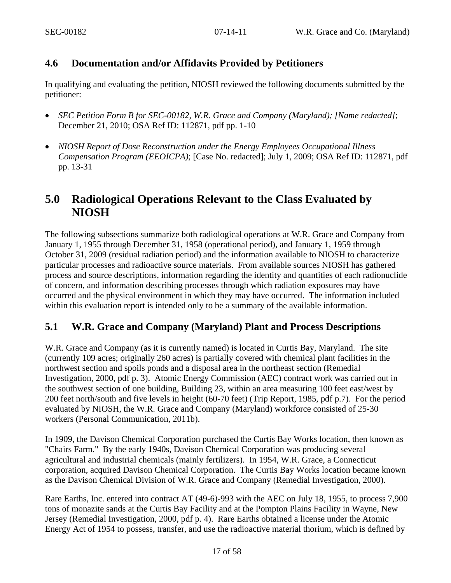## <span id="page-16-0"></span>**4.6 Documentation and/or Affidavits Provided by Petitioners**

In qualifying and evaluating the petition, NIOSH reviewed the following documents submitted by the petitioner:

- *SEC Petition Form B for SEC-00182, W.R. Grace and Company (Maryland); [Name redacted]*; December 21, 2010; OSA Ref ID: 112871, pdf pp. 1-10
- *NIOSH Report of Dose Reconstruction under the Energy Employees Occupational Illness Compensation Program (EEOICPA)*; [Case No. redacted]; July 1, 2009; OSA Ref ID: 112871, pdf pp. 13-31

# **5.0 Radiological Operations Relevant to the Class Evaluated by NIOSH**

The following subsections summarize both radiological operations at W.R. Grace and Company from January 1, 1955 through December 31, 1958 (operational period), and January 1, 1959 through October 31, 2009 (residual radiation period) and the information available to NIOSH to characterize particular processes and radioactive source materials. From available sources NIOSH has gathered process and source descriptions, information regarding the identity and quantities of each radionuclide of concern, and information describing processes through which radiation exposures may have occurred and the physical environment in which they may have occurred. The information included within this evaluation report is intended only to be a summary of the available information.

## **5.1 W.R. Grace and Company (Maryland) Plant and Process Descriptions**

W.R. Grace and Company (as it is currently named) is located in Curtis Bay, Maryland. The site (currently 109 acres; originally 260 acres) is partially covered with chemical plant facilities in the northwest section and spoils ponds and a disposal area in the northeast section (Remedial Investigation, 2000, pdf p. 3). Atomic Energy Commission (AEC) contract work was carried out in the southwest section of one building, Building 23, within an area measuring 100 feet east/west by 200 feet north/south and five levels in height (60-70 feet) (Trip Report, 1985, pdf p.7). For the period evaluated by NIOSH, the W.R. Grace and Company (Maryland) workforce consisted of 25-30 workers (Personal Communication, 2011b).

In 1909, the Davison Chemical Corporation purchased the Curtis Bay Works location, then known as "Chairs Farm." By the early 1940s, Davison Chemical Corporation was producing several agricultural and industrial chemicals (mainly fertilizers). In 1954, W.R. Grace, a Connecticut corporation, acquired Davison Chemical Corporation. The Curtis Bay Works location became known as the Davison Chemical Division of W.R. Grace and Company (Remedial Investigation, 2000).

Rare Earths, Inc. entered into contract AT (49-6)-993 with the AEC on July 18, 1955, to process 7,900 tons of monazite sands at the Curtis Bay Facility and at the Pompton Plains Facility in Wayne, New Jersey (Remedial Investigation, 2000, pdf p. 4). Rare Earths obtained a license under the Atomic Energy Act of 1954 to possess, transfer, and use the radioactive material thorium, which is defined by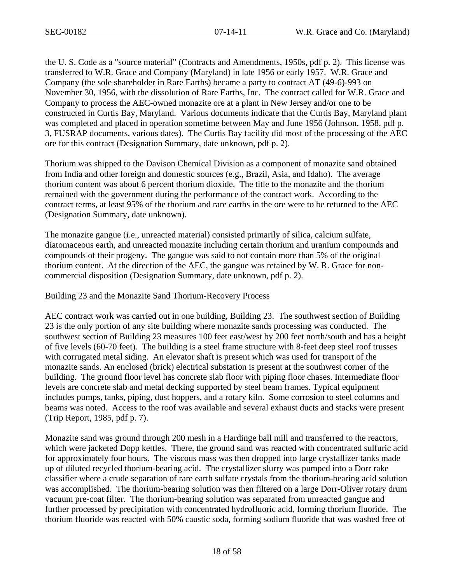the U. S. Code as a "source material" (Contracts and Amendments, 1950s, pdf p. 2). This license was transferred to W.R. Grace and Company (Maryland) in late 1956 or early 1957. W.R. Grace and Company (the sole shareholder in Rare Earths) became a party to contract AT (49-6)-993 on November 30, 1956, with the dissolution of Rare Earths, Inc. The contract called for W.R. Grace and Company to process the AEC-owned monazite ore at a plant in New Jersey and/or one to be constructed in Curtis Bay, Maryland. Various documents indicate that the Curtis Bay, Maryland plant was completed and placed in operation sometime between May and June 1956 (Johnson, 1958, pdf p. 3, FUSRAP documents, various dates). The Curtis Bay facility did most of the processing of the AEC ore for this contract (Designation Summary, date unknown, pdf p. 2).

Thorium was shipped to the Davison Chemical Division as a component of monazite sand obtained from India and other foreign and domestic sources (e.g., Brazil, Asia, and Idaho). The average thorium content was about 6 percent thorium dioxide. The title to the monazite and the thorium remained with the government during the performance of the contract work. According to the contract terms, at least 95% of the thorium and rare earths in the ore were to be returned to the AEC (Designation Summary, date unknown).

The monazite gangue (i.e., unreacted material) consisted primarily of silica, calcium sulfate, diatomaceous earth, and unreacted monazite including certain thorium and uranium compounds and compounds of their progeny. The gangue was said to not contain more than 5% of the original thorium content. At the direction of the AEC, the gangue was retained by W. R. Grace for noncommercial disposition (Designation Summary, date unknown, pdf p. 2).

#### Building 23 and the Monazite Sand Thorium-Recovery Process

AEC contract work was carried out in one building, Building 23. The southwest section of Building 23 is the only portion of any site building where monazite sands processing was conducted. The southwest section of Building 23 measures 100 feet east/west by 200 feet north/south and has a height of five levels (60-70 feet). The building is a steel frame structure with 8-feet deep steel roof trusses with corrugated metal siding. An elevator shaft is present which was used for transport of the monazite sands. An enclosed (brick) electrical substation is present at the southwest corner of the building. The ground floor level has concrete slab floor with piping floor chases. Intermediate floor levels are concrete slab and metal decking supported by steel beam frames. Typical equipment includes pumps, tanks, piping, dust hoppers, and a rotary kiln. Some corrosion to steel columns and beams was noted. Access to the roof was available and several exhaust ducts and stacks were present (Trip Report, 1985, pdf p. 7).

Monazite sand was ground through 200 mesh in a Hardinge ball mill and transferred to the reactors, which were jacketed Dopp kettles. There, the ground sand was reacted with concentrated sulfuric acid for approximately four hours. The viscous mass was then dropped into large crystallizer tanks made up of diluted recycled thorium-bearing acid. The crystallizer slurry was pumped into a Dorr rake classifier where a crude separation of rare earth sulfate crystals from the thorium-bearing acid solution was accomplished. The thorium-bearing solution was then filtered on a large Dorr-Oliver rotary drum vacuum pre-coat filter. The thorium-bearing solution was separated from unreacted gangue and further processed by precipitation with concentrated hydrofluoric acid, forming thorium fluoride. The thorium fluoride was reacted with 50% caustic soda, forming sodium fluoride that was washed free of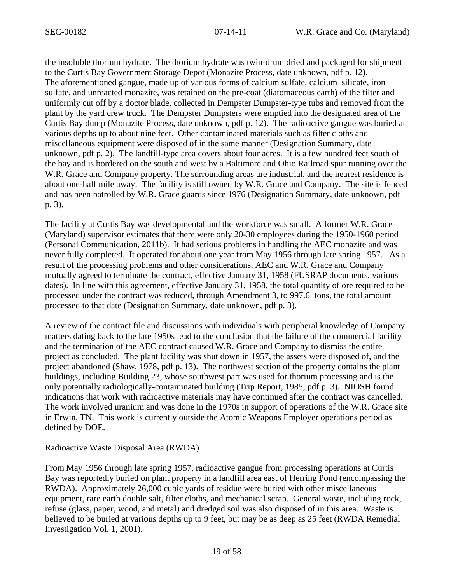the insoluble thorium hydrate. The thorium hydrate was twin-drum dried and packaged for shipment to the Curtis Bay Government Storage Depot (Monazite Process, date unknown, pdf p. 12). The aforementioned gangue, made up of various forms of calcium sulfate, calcium silicate, iron sulfate, and unreacted monazite, was retained on the pre-coat (diatomaceous earth) of the filter and uniformly cut off by a doctor blade, collected in Dempster Dumpster-type tubs and removed from the plant by the yard crew truck. The Dempster Dumpsters were emptied into the designated area of the Curtis Bay dump (Monazite Process, date unknown, pdf p. 12). The radioactive gangue was buried at various depths up to about nine feet. Other contaminated materials such as filter cloths and miscellaneous equipment were disposed of in the same manner (Designation Summary, date unknown, pdf p. 2). The landfill-type area covers about four acres. It is a few hundred feet south of the bay and is bordered on the south and west by a Baltimore and Ohio Railroad spur running over the W.R. Grace and Company property. The surrounding areas are industrial, and the nearest residence is about one-half mile away. The facility is still owned by W.R. Grace and Company. The site is fenced and has been patrolled by W.R. Grace guards since 1976 (Designation Summary, date unknown, pdf p. 3).

The facility at Curtis Bay was developmental and the workforce was small. A former W.R. Grace (Maryland) supervisor estimates that there were only 20-30 employees during the 1950-1960 period (Personal Communication, 2011b). It had serious problems in handling the AEC monazite and was never fully completed. It operated for about one year from May 1956 through late spring 1957. As a result of the processing problems and other considerations, AEC and W.R. Grace and Company mutually agreed to terminate the contract, effective January 31, 1958 (FUSRAP documents, various dates). In line with this agreement, effective January 31, 1958, the total quantity of ore required to be processed under the contract was reduced, through Amendment 3, to 997.6l tons, the total amount processed to that date (Designation Summary, date unknown, pdf p. 3).

A review of the contract file and discussions with individuals with peripheral knowledge of Company matters dating back to the late 1950s lead to the conclusion that the failure of the commercial facility and the termination of the AEC contract caused W.R. Grace and Company to dismiss the entire project as concluded. The plant facility was shut down in 1957, the assets were disposed of, and the project abandoned (Shaw, 1978, pdf p. 13). The northwest section of the property contains the plant buildings, including Building 23, whose southwest part was used for thorium processing and is the only potentially radiologically-contaminated building (Trip Report, 1985, pdf p. 3). NIOSH found indications that work with radioactive materials may have continued after the contract was cancelled. The work involved uranium and was done in the 1970s in support of operations of the W.R. Grace site in Erwin, TN. This work is currently outside the Atomic Weapons Employer operations period as defined by DOE.

#### Radioactive Waste Disposal Area (RWDA)

From May 1956 through late spring 1957, radioactive gangue from processing operations at Curtis Bay was reportedly buried on plant property in a landfill area east of Herring Pond (encompassing the RWDA). Approximately 26,000 cubic yards of residue were buried with other miscellaneous equipment, rare earth double salt, filter cloths, and mechanical scrap. General waste, including rock, refuse (glass, paper, wood, and metal) and dredged soil was also disposed of in this area. Waste is believed to be buried at various depths up to 9 feet, but may be as deep as 25 feet (RWDA Remedial Investigation Vol. 1, 2001).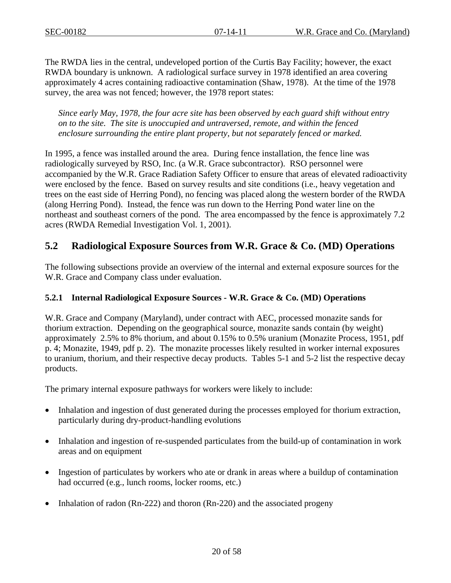<span id="page-19-0"></span>The RWDA lies in the central, undeveloped portion of the Curtis Bay Facility; however, the exact RWDA boundary is unknown. A radiological surface survey in 1978 identified an area covering approximately 4 acres containing radioactive contamination (Shaw, 1978). At the time of the 1978 survey, the area was not fenced; however, the 1978 report states:

*Since early May, 1978, the four acre site has been observed by each guard shift without entry on to the site. The site is unoccupied and untraversed, remote, and within the fenced enclosure surrounding the entire plant property, but not separately fenced or marked.* 

In 1995, a fence was installed around the area. During fence installation, the fence line was radiologically surveyed by RSO, Inc. (a W.R. Grace subcontractor). RSO personnel were accompanied by the W.R. Grace Radiation Safety Officer to ensure that areas of elevated radioactivity were enclosed by the fence. Based on survey results and site conditions (i.e., heavy vegetation and trees on the east side of Herring Pond), no fencing was placed along the western border of the RWDA (along Herring Pond). Instead, the fence was run down to the Herring Pond water line on the northeast and southeast corners of the pond. The area encompassed by the fence is approximately 7.2 acres (RWDA Remedial Investigation Vol. 1, 2001).

## **5.2 Radiological Exposure Sources from W.R. Grace & Co. (MD) Operations**

The following subsections provide an overview of the internal and external exposure sources for the W.R. Grace and Company class under evaluation.

### **5.2.1 Internal Radiological Exposure Sources - W.R. Grace & Co. (MD) Operations**

W.R. Grace and Company (Maryland), under contract with AEC, processed monazite sands for thorium extraction. Depending on the geographical source, monazite sands contain (by weight) approximately 2.5% to 8% thorium, and about 0.15% to 0.5% uranium (Monazite Process, 1951, pdf p. 4; Monazite, 1949, pdf p. 2). The monazite processes likely resulted in worker internal exposures to uranium, thorium, and their respective decay products. Tables 5-1 and 5-2 list the respective decay products.

The primary internal exposure pathways for workers were likely to include:

- Inhalation and ingestion of dust generated during the processes employed for thorium extraction, particularly during dry-product-handling evolutions
- Inhalation and ingestion of re-suspended particulates from the build-up of contamination in work areas and on equipment
- Ingestion of particulates by workers who ate or drank in areas where a buildup of contamination had occurred (e.g., lunch rooms, locker rooms, etc.)
- Inhalation of radon (Rn-222) and thoron (Rn-220) and the associated progeny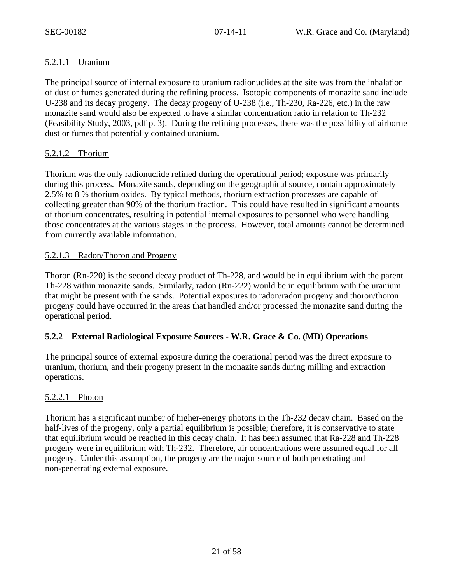#### <span id="page-20-0"></span>5.2.1.1 Uranium

The principal source of internal exposure to uranium radionuclides at the site was from the inhalation of dust or fumes generated during the refining process. Isotopic components of monazite sand include U-238 and its decay progeny. The decay progeny of U-238 (i.e., Th-230, Ra-226, etc.) in the raw monazite sand would also be expected to have a similar concentration ratio in relation to Th-232 (Feasibility Study, 2003, pdf p. 3). During the refining processes, there was the possibility of airborne dust or fumes that potentially contained uranium.

#### 5.2.1.2 Thorium

Thorium was the only radionuclide refined during the operational period; exposure was primarily during this process. Monazite sands, depending on the geographical source, contain approximately 2.5% to 8 % thorium oxides. By typical methods, thorium extraction processes are capable of collecting greater than 90% of the thorium fraction. This could have resulted in significant amounts of thorium concentrates, resulting in potential internal exposures to personnel who were handling those concentrates at the various stages in the process. However, total amounts cannot be determined from currently available information.

#### 5.2.1.3 Radon/Thoron and Progeny

Thoron (Rn-220) is the second decay product of Th-228, and would be in equilibrium with the parent Th-228 within monazite sands. Similarly, radon (Rn-222) would be in equilibrium with the uranium that might be present with the sands. Potential exposures to radon/radon progeny and thoron/thoron progeny could have occurred in the areas that handled and/or processed the monazite sand during the operational period.

### **5.2.2 External Radiological Exposure Sources - W.R. Grace & Co. (MD) Operations**

The principal source of external exposure during the operational period was the direct exposure to uranium, thorium, and their progeny present in the monazite sands during milling and extraction operations.

#### 5.2.2.1 Photon

Thorium has a significant number of higher-energy photons in the Th-232 decay chain. Based on the half-lives of the progeny, only a partial equilibrium is possible; therefore, it is conservative to state that equilibrium would be reached in this decay chain. It has been assumed that Ra-228 and Th-228 progeny were in equilibrium with Th-232. Therefore, air concentrations were assumed equal for all progeny. Under this assumption, the progeny are the major source of both penetrating and non-penetrating external exposure.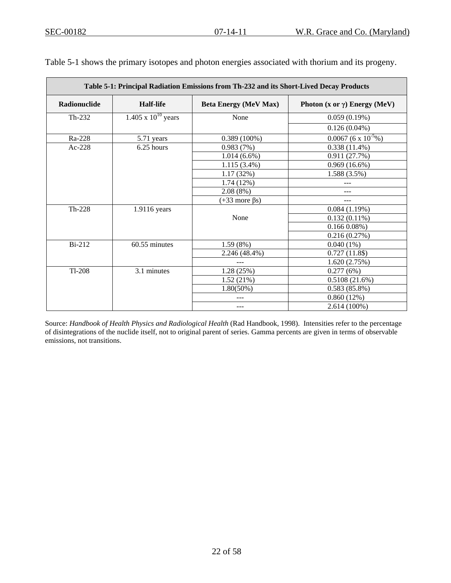| Table 5-1: Principal Radiation Emissions from Th-232 and its Short-Lived Decay Products |                              |                              |                                              |  |  |  |
|-----------------------------------------------------------------------------------------|------------------------------|------------------------------|----------------------------------------------|--|--|--|
| Radionuclide                                                                            | <b>Half-life</b>             | <b>Beta Energy (MeV Max)</b> | Photon $(x \text{ or } \gamma)$ Energy (MeV) |  |  |  |
| Th-232                                                                                  | $1.405 \times 10^{10}$ years | None                         | 0.059(0.19%)                                 |  |  |  |
|                                                                                         |                              |                              | $0.126(0.04\%)$                              |  |  |  |
| Ra-228                                                                                  | 5.71 years                   | $0.389(100\%)$               | $0.0067$ (6 x $10^{-5}$ %)                   |  |  |  |
| Ac-228                                                                                  | 6.25 hours                   | 0.983(7%)                    | $0.338(11.4\%)$                              |  |  |  |
|                                                                                         |                              | $1.014(6.6\%)$               | 0.911(27.7%)                                 |  |  |  |
|                                                                                         |                              | $1.115(3.4\%)$               | $0.969(16.6\%)$                              |  |  |  |
|                                                                                         |                              | 1.17(32%)                    | 1.588 (3.5%)                                 |  |  |  |
|                                                                                         |                              | 1.74(12%)                    |                                              |  |  |  |
|                                                                                         |                              | 2.08(8%)                     | ---                                          |  |  |  |
|                                                                                         |                              | $(+33$ more $\beta$ s)       | ---                                          |  |  |  |
| Th-228                                                                                  | 1.9116 years                 |                              | 0.084(1.19%)                                 |  |  |  |
|                                                                                         |                              | None                         | $0.132(0.11\%)$                              |  |  |  |
|                                                                                         |                              |                              | $0.1660.08\%)$                               |  |  |  |
|                                                                                         |                              |                              | 0.216(0.27%)                                 |  |  |  |
| Bi-212                                                                                  | 60.55 minutes                | 1.59(8%)                     | $0.040(1\%)$                                 |  |  |  |
|                                                                                         |                              | 2.246 (48.4%)                | $0.727(11.8\$                                |  |  |  |
|                                                                                         |                              |                              | 1.620(2.75%)                                 |  |  |  |
| Tl-208                                                                                  | 3.1 minutes                  | 1.28(25%)                    | 0.277(6%)                                    |  |  |  |
|                                                                                         |                              | 1.52(21%)                    | 0.5108(21.6%)                                |  |  |  |
|                                                                                         |                              | $1.80(50\%)$                 | $0.583(85.8\%)$                              |  |  |  |
|                                                                                         |                              |                              | 0.860(12%)                                   |  |  |  |
|                                                                                         |                              | ---                          | $2.614(100\%)$                               |  |  |  |

<span id="page-21-0"></span>Table 5-1 shows the primary isotopes and photon energies associated with thorium and its progeny.

Source: *Handbook of Health Physics and Radiological Health* (Rad Handbook, 1998). Intensities refer to the percentage of disintegrations of the nuclide itself, not to original parent of series. Gamma percents are given in terms of observable emissions, not transitions.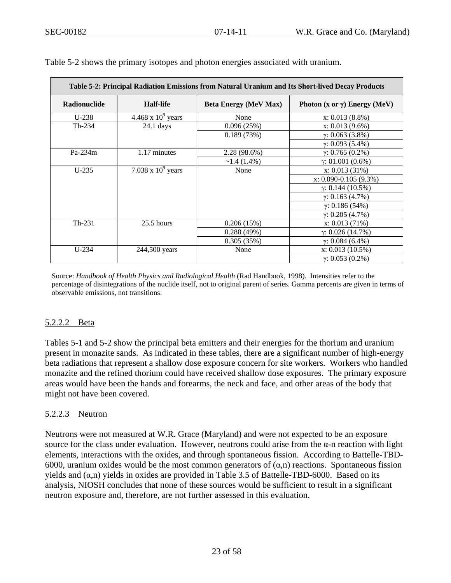| Table 5-2: Principal Radiation Emissions from Natural Uranium and Its Short-lived Decay Products |                      |                              |                                              |  |  |  |
|--------------------------------------------------------------------------------------------------|----------------------|------------------------------|----------------------------------------------|--|--|--|
| Radionuclide                                                                                     | Half-life            | <b>Beta Energy (MeV Max)</b> | Photon $(x \text{ or } \gamma)$ Energy (MeV) |  |  |  |
| $U-238$                                                                                          | 4.468 x $10^9$ years | None                         | $x: 0.013(8.8\%)$                            |  |  |  |
| $Th-234$                                                                                         | $24.1$ days          | 0.096(25%)                   | $x: 0.013(9.6\%)$                            |  |  |  |
|                                                                                                  |                      | 0.189(73%)                   | $\gamma$ : 0.063 (3.8%)                      |  |  |  |
|                                                                                                  |                      |                              | $\gamma$ : 0.093 (5.4%)                      |  |  |  |
| $Pa-234m$                                                                                        | 1.17 minutes         | 2.28 (98.6%)                 | $\gamma$ : 0.765 (0.2%)                      |  |  |  |
|                                                                                                  |                      | $~1.4(1.4\%)$                | $\gamma$ : 01.001 (0.6%)                     |  |  |  |
| $U-235$                                                                                          | 7.038 x $10^9$ years | None                         | $x: 0.013(31\%)$                             |  |  |  |
|                                                                                                  |                      |                              | $x: 0.090 - 0.105 (9.3%)$                    |  |  |  |
|                                                                                                  |                      |                              | $\gamma$ : 0.144 (10.5%)                     |  |  |  |
|                                                                                                  |                      |                              | $\gamma$ : 0.163 (4.7%)                      |  |  |  |
|                                                                                                  |                      |                              | $\gamma$ : 0.186 (54%)                       |  |  |  |
|                                                                                                  |                      |                              | $\gamma$ : 0.205 (4.7%)                      |  |  |  |
| $Th-231$                                                                                         | $25.5$ hours         | 0.206(15%)                   | x: 0.013(71%)                                |  |  |  |
|                                                                                                  |                      | 0.288(49%)                   | $\gamma$ : 0.026 (14.7%)                     |  |  |  |
|                                                                                                  |                      | 0.305(35%)                   | $\gamma$ : 0.084 (6.4%)                      |  |  |  |
| $U-234$                                                                                          | 244,500 years        | None                         | x: 0.013(10.5%)                              |  |  |  |
|                                                                                                  |                      |                              | $\gamma$ : 0.053 (0.2%)                      |  |  |  |

<span id="page-22-0"></span>Table 5-2 shows the primary isotopes and photon energies associated with uranium.

Source: *Handbook of Health Physics and Radiological Health* (Rad Handbook, 1998). Intensities refer to the percentage of disintegrations of the nuclide itself, not to original parent of series. Gamma percents are given in terms of observable emissions, not transitions.

#### 5.2.2.2 Beta

Tables 5-1 and 5-2 show the principal beta emitters and their energies for the thorium and uranium present in monazite sands. As indicated in these tables, there are a significant number of high-energy beta radiations that represent a shallow dose exposure concern for site workers. Workers who handled monazite and the refined thorium could have received shallow dose exposures. The primary exposure areas would have been the hands and forearms, the neck and face, and other areas of the body that might not have been covered.

#### 5.2.2.3 Neutron

Neutrons were not measured at W.R. Grace (Maryland) and were not expected to be an exposure source for the class under evaluation. However, neutrons could arise from the  $\alpha$ -n reaction with light elements, interactions with the oxides, and through spontaneous fission. According to Battelle-TBD-6000, uranium oxides would be the most common generators of  $(\alpha,n)$  reactions. Spontaneous fission yields and  $(α, n)$  yields in oxides are provided in Table 3.5 of Battelle-TBD-6000. Based on its analysis, NIOSH concludes that none of these sources would be sufficient to result in a significant neutron exposure and, therefore, are not further assessed in this evaluation.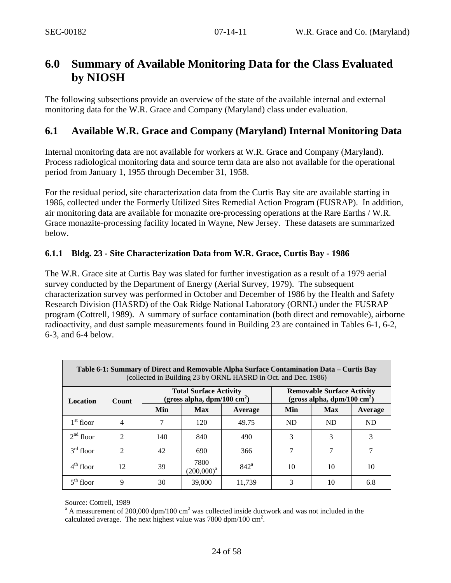# <span id="page-23-0"></span>**6.0 Summary of Available Monitoring Data for the Class Evaluated by NIOSH**

The following subsections provide an overview of the state of the available internal and external monitoring data for the W.R. Grace and Company (Maryland) class under evaluation.

## **6.1 Available W.R. Grace and Company (Maryland) Internal Monitoring Data**

Internal monitoring data are not available for workers at W.R. Grace and Company (Maryland). Process radiological monitoring data and source term data are also not available for the operational period from January 1, 1955 through December 31, 1958.

For the residual period, site characterization data from the Curtis Bay site are available starting in 1986, collected under the Formerly Utilized Sites Remedial Action Program (FUSRAP). In addition, air monitoring data are available for monazite ore-processing operations at the Rare Earths / W.R. Grace monazite-processing facility located in Wayne, New Jersey. These datasets are summarized below.

#### **6.1.1 Bldg. 23 - Site Characterization Data from W.R. Grace, Curtis Bay - 1986**

The W.R. Grace site at Curtis Bay was slated for further investigation as a result of a 1979 aerial survey conducted by the Department of Energy (Aerial Survey, 1979). The subsequent characterization survey was performed in October and December of 1986 by the Health and Safety Research Division (HASRD) of the Oak Ridge National Laboratory (ORNL) under the FUSRAP program (Cottrell, 1989). A summary of surface contamination (both direct and removable), airborne radioactivity, and dust sample measurements found in Building 23 are contained in Tables 6-1, 6-2, 6-3, and 6-4 below.

| Table 6-1: Summary of Direct and Removable Alpha Surface Contamination Data – Curtis Bay<br>(collected in Building 23 by ORNL HASRD in Oct. and Dec. 1986) |                             |     |                                                                        |               |                                                                            |            |         |  |
|------------------------------------------------------------------------------------------------------------------------------------------------------------|-----------------------------|-----|------------------------------------------------------------------------|---------------|----------------------------------------------------------------------------|------------|---------|--|
| Location                                                                                                                                                   | Count                       |     | <b>Total Surface Activity</b><br>(gross alpha, dpm/100 $\text{cm}^2$ ) |               | <b>Removable Surface Activity</b><br>(gross alpha, dpm/100 $\text{cm}^2$ ) |            |         |  |
|                                                                                                                                                            |                             | Min | <b>Max</b>                                                             | Average       | Min                                                                        | <b>Max</b> | Average |  |
| $1st$ floor                                                                                                                                                | $\overline{4}$              | 7   | 120                                                                    | 49.75         | ND.                                                                        | <b>ND</b>  | ND.     |  |
| $2nd$ floor                                                                                                                                                | $\mathfrak{D}$              | 140 | 840                                                                    | 490           | 3                                                                          | 3          | 3       |  |
| $3rd$ floor                                                                                                                                                | $\mathcal{D}_{\mathcal{L}}$ | 42  | 690                                                                    | 366           | 7                                                                          |            | 7       |  |
| $4th$ floor                                                                                                                                                | 12                          | 39  | 7800<br>$(200,000)^a$                                                  | $842^{\circ}$ | 10                                                                         | 10         | 10      |  |
| $5th$ floor                                                                                                                                                | 9                           | 30  | 39,000                                                                 | 11.739        | 3                                                                          | 10         | 6.8     |  |

Source: Cottrell, 1989

<sup>a</sup> A measurement of 200,000 dpm/100 cm<sup>2</sup> was collected inside ductwork and was not included in the calculated average. The next highest value was  $7800 \text{ dpm}/100 \text{ cm}^2$ .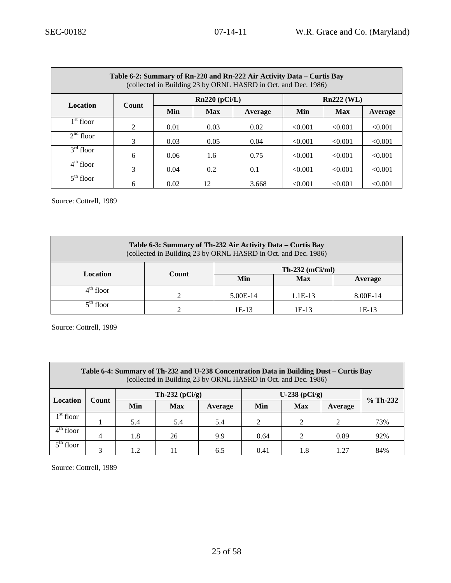<span id="page-24-0"></span>

|                                  | Table 6-2: Summary of Rn-220 and Rn-222 Air Activity Data – Curtis Bay<br>(collected in Building 23 by ORNL HASRD in Oct. and Dec. 1986) |                 |            |         |              |            |         |  |
|----------------------------------|------------------------------------------------------------------------------------------------------------------------------------------|-----------------|------------|---------|--------------|------------|---------|--|
|                                  |                                                                                                                                          | $Rn220$ (pCi/L) |            |         | $Rn222$ (WL) |            |         |  |
| Location                         | Count                                                                                                                                    | Min             | <b>Max</b> | Average | Min          | <b>Max</b> | Average |  |
| $1st$ floor                      | 2                                                                                                                                        | 0.01            | 0.03       | 0.02    | < 0.001      | < 0.001    | < 0.001 |  |
| $2nd$ floor                      | 3                                                                                                                                        | 0.03            | 0.05       | 0.04    | < 0.001      | < 0.001    | < 0.001 |  |
| $\overline{3}^{\text{rd}}$ floor | 6                                                                                                                                        | 0.06            | 1.6        | 0.75    | < 0.001      | < 0.001    | < 0.001 |  |
| $\overline{4}^{\text{th}}$ floor | 3                                                                                                                                        | 0.04            | 0.2        | 0.1     | < 0.001      | < 0.001    | < 0.001 |  |
| $5th$ floor                      | 6                                                                                                                                        | 0.02            | 12         | 3.668   | < 0.001      | < 0.001    | < 0.001 |  |

Source: Cottrell, 1989

| Table 6-3: Summary of Th-232 Air Activity Data – Curtis Bay<br>(collected in Building 23 by ORNL HASRD in Oct. and Dec. 1986) |                   |          |            |          |  |  |  |
|-------------------------------------------------------------------------------------------------------------------------------|-------------------|----------|------------|----------|--|--|--|
| Location                                                                                                                      | $Th-232$ (mCi/ml) |          |            |          |  |  |  |
|                                                                                                                               | Count             | Min      | <b>Max</b> | Average  |  |  |  |
| $4th$ floor                                                                                                                   |                   | 5.00E-14 | $1.1E-13$  | 8.00E-14 |  |  |  |
| $5th$ floor                                                                                                                   |                   | $1E-13$  | $1E-13$    | 1E-13    |  |  |  |

Source: Cottrell, 1989

| Table 6-4: Summary of Th-232 and U-238 Concentration Data in Building Dust – Curtis Bay<br>(collected in Building 23 by ORNL HASRD in Oct. and Dec. 1986) |                |     |                  |         |                 |               |         |             |  |
|-----------------------------------------------------------------------------------------------------------------------------------------------------------|----------------|-----|------------------|---------|-----------------|---------------|---------|-------------|--|
| <b>Location</b>                                                                                                                                           |                |     | Th-232 $(pCi/g)$ |         | $U-238$ (pCi/g) |               |         |             |  |
|                                                                                                                                                           | <b>Count</b>   | Min | <b>Max</b>       | Average | Min             | <b>Max</b>    | Average | $\%$ Th-232 |  |
| $1st$ floor                                                                                                                                               |                | 5.4 | 5.4              | 5.4     |                 | 2             |         | 73%         |  |
| $4th$ floor                                                                                                                                               | $\overline{4}$ | 1.8 | 26               | 9.9     | 0.64            | $\mathcal{L}$ | 0.89    | 92%         |  |
| $5th$ floor                                                                                                                                               | 3              | 1.2 |                  | 6.5     | 0.41            | 1.8           | 1.27    | 84%         |  |

Source: Cottrell, 1989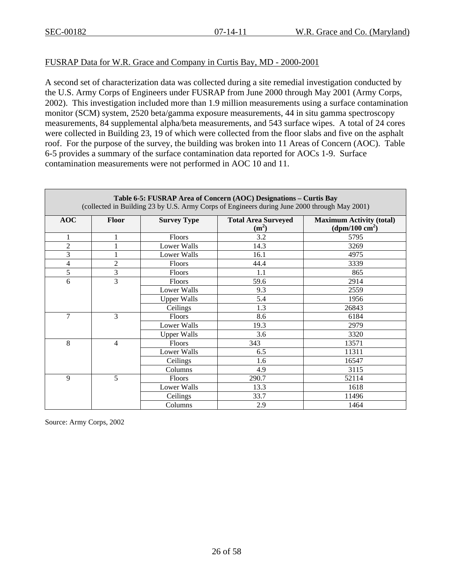#### <span id="page-25-0"></span>FUSRAP Data for W.R. Grace and Company in Curtis Bay, MD - 2000-2001

A second set of characterization data was collected during a site remedial investigation conducted by the U.S. Army Corps of Engineers under FUSRAP from June 2000 through May 2001 (Army Corps, 2002). This investigation included more than 1.9 million measurements using a surface contamination monitor (SCM) system, 2520 beta/gamma exposure measurements, 44 in situ gamma spectroscopy measurements, 84 supplemental alpha/beta measurements, and 543 surface wipes. A total of 24 cores were collected in Building 23, 19 of which were collected from the floor slabs and five on the asphalt roof. For the purpose of the survey, the building was broken into 11 Areas of Concern (AOC). Table 6-5 provides a summary of the surface contamination data reported for AOCs 1-9. Surface contamination measurements were not performed in AOC 10 and 11.

|                | Table 6-5: FUSRAP Area of Concern (AOC) Designations - Curtis Bay<br>(collected in Building 23 by U.S. Army Corps of Engineers during June 2000 through May 2001) |                    |                                       |                                                             |  |  |  |  |
|----------------|-------------------------------------------------------------------------------------------------------------------------------------------------------------------|--------------------|---------------------------------------|-------------------------------------------------------------|--|--|--|--|
| <b>AOC</b>     | Floor                                                                                                                                                             | <b>Survey Type</b> | <b>Total Area Surveyed</b><br>$(m^2)$ | <b>Maximum Activity (total)</b><br>$(dpm/100 \text{ cm}^2)$ |  |  |  |  |
| 1              |                                                                                                                                                                   | <b>Floors</b>      | 3.2                                   | 5795                                                        |  |  |  |  |
| $\overline{2}$ |                                                                                                                                                                   | Lower Walls        | 14.3                                  | 3269                                                        |  |  |  |  |
| 3              |                                                                                                                                                                   | Lower Walls        | 16.1                                  | 4975                                                        |  |  |  |  |
| 4              | $\overline{2}$                                                                                                                                                    | <b>Floors</b>      | 44.4                                  | 3339                                                        |  |  |  |  |
| 5              | 3                                                                                                                                                                 | <b>Floors</b>      | 1.1                                   | 865                                                         |  |  |  |  |
| 6              | 3                                                                                                                                                                 | <b>Floors</b>      | 59.6                                  | 2914                                                        |  |  |  |  |
|                |                                                                                                                                                                   | Lower Walls        | 9.3                                   | 2559                                                        |  |  |  |  |
|                |                                                                                                                                                                   | <b>Upper Walls</b> | 5.4                                   | 1956                                                        |  |  |  |  |
|                |                                                                                                                                                                   | Ceilings           | 1.3                                   | 26843                                                       |  |  |  |  |
| 7              | 3                                                                                                                                                                 | <b>Floors</b>      | 8.6                                   | 6184                                                        |  |  |  |  |
|                |                                                                                                                                                                   | Lower Walls        | 19.3                                  | 2979                                                        |  |  |  |  |
|                |                                                                                                                                                                   | <b>Upper Walls</b> | 3.6                                   | 3320                                                        |  |  |  |  |
| 8              | $\overline{4}$                                                                                                                                                    | <b>Floors</b>      | 343                                   | 13571                                                       |  |  |  |  |
|                |                                                                                                                                                                   | Lower Walls        | 6.5                                   | 11311                                                       |  |  |  |  |
|                |                                                                                                                                                                   | Ceilings           | 1.6                                   | 16547                                                       |  |  |  |  |
|                |                                                                                                                                                                   | Columns            | 4.9                                   | 3115                                                        |  |  |  |  |
| 9              | 5                                                                                                                                                                 | <b>Floors</b>      | 290.7                                 | 52114                                                       |  |  |  |  |
|                |                                                                                                                                                                   | Lower Walls        | 13.3                                  | 1618                                                        |  |  |  |  |
|                |                                                                                                                                                                   | Ceilings           | 33.7                                  | 11496                                                       |  |  |  |  |
|                |                                                                                                                                                                   | Columns            | 2.9                                   | 1464                                                        |  |  |  |  |

Source: Army Corps, 2002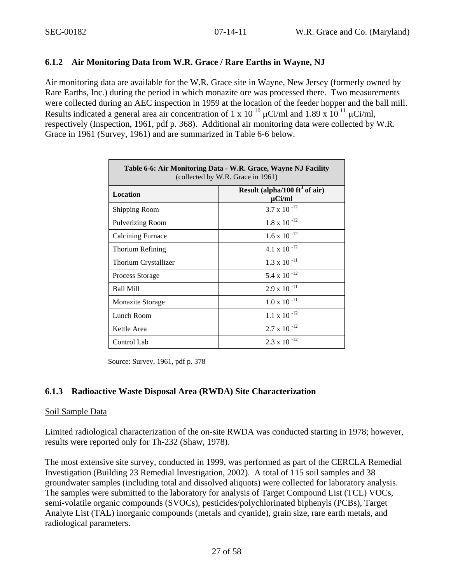### <span id="page-26-0"></span>**6.1.2 Air Monitoring Data from W.R. Grace / Rare Earths in Wayne, NJ**

Air monitoring data are available for the W.R. Grace site in Wayne, New Jersey (formerly owned by Rare Earths, Inc.) during the period in which monazite ore was processed there. Two measurements were collected during an AEC inspection in 1959 at the location of the feeder hopper and the ball mill. Results indicated a general area air concentration of 1 x  $10^{-10}$   $\mu$ Ci/ml and 1.89 x  $10^{-11}$   $\mu$ Ci/ml, respectively (Inspection, 1961, pdf p. 368). Additional air monitoring data were collected by W.R. Grace in 1961 (Survey, 1961) and are summarized in Table 6-6 below.

| Table 6-6: Air Monitoring Data - W.R. Grace, Wayne NJ Facility<br>(collected by W.R. Grace in 1961) |                                                 |  |  |  |  |
|-----------------------------------------------------------------------------------------------------|-------------------------------------------------|--|--|--|--|
| Location                                                                                            | Result (alpha/100 $ft^3$ of air)<br>$\mu$ Ci/ml |  |  |  |  |
| <b>Shipping Room</b>                                                                                | $3.7 \times 10^{-12}$                           |  |  |  |  |
| Pulverizing Room                                                                                    | $1.8 \times 10^{-12}$                           |  |  |  |  |
| Calcining Furnace                                                                                   | $1.6 \times 10^{-12}$                           |  |  |  |  |
| Thorium Refining                                                                                    | 4.1 x 10 $^{-12}$                               |  |  |  |  |
| Thorium Crystallizer                                                                                | $1.3 \times 10^{-11}$                           |  |  |  |  |
| Process Storage                                                                                     | 5.4 x 10 $^{-12}$                               |  |  |  |  |
| <b>Ball Mill</b>                                                                                    | $2.9 \times 10^{-11}$                           |  |  |  |  |
| <b>Monazite Storage</b>                                                                             | $1.0 \times 10^{-11}$                           |  |  |  |  |
| Lunch Room                                                                                          | $1.1 \times 10^{-12}$                           |  |  |  |  |
| Kettle Area                                                                                         | $2.7 \times 10^{-12}$                           |  |  |  |  |
| Control Lab                                                                                         | $2.3 \times 10^{-12}$                           |  |  |  |  |

Source: Survey, 1961, pdf p. 378

#### **6.1.3 Radioactive Waste Disposal Area (RWDA) Site Characterization**

#### Soil Sample Data

Limited radiological characterization of the on-site RWDA was conducted starting in 1978; however, results were reported only for Th-232 (Shaw, 1978).

The most extensive site survey, conducted in 1999, was performed as part of the CERCLA Remedial Investigation (Building 23 Remedial Investigation, 2002). A total of 115 soil samples and 38 groundwater samples (including total and dissolved aliquots) were collected for laboratory analysis. The samples were submitted to the laboratory for analysis of Target Compound List (TCL) VOCs, semi-volatile organic compounds (SVOCs), pesticides/polychlorinated biphenyls (PCBs), Target Analyte List (TAL) inorganic compounds (metals and cyanide), grain size, rare earth metals, and radiological parameters.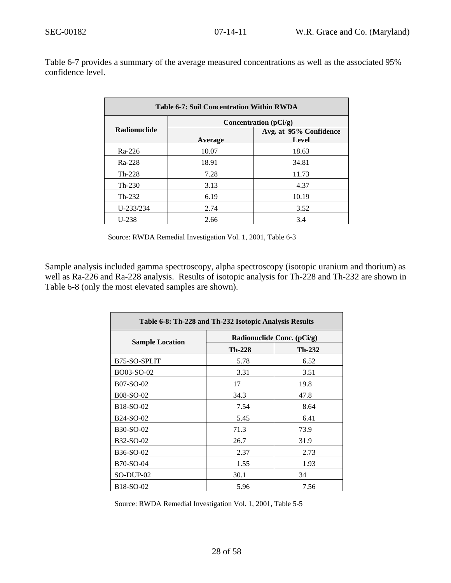<span id="page-27-0"></span>Table 6-7 provides a summary of the average measured concentrations as well as the associated 95% confidence level.

| <b>Table 6-7: Soil Concentration Within RWDA</b> |         |                                 |  |  |  |
|--------------------------------------------------|---------|---------------------------------|--|--|--|
|                                                  |         | Concentration $(pCi/g)$         |  |  |  |
| Radionuclide                                     | Average | Avg. at 95% Confidence<br>Level |  |  |  |
| Ra-226                                           | 10.07   | 18.63                           |  |  |  |
| Ra-228                                           | 18.91   | 34.81                           |  |  |  |
| $Th-228$                                         | 7.28    | 11.73                           |  |  |  |
| $Th-230$                                         | 3.13    | 4.37                            |  |  |  |
| $Th-232$                                         | 6.19    | 10.19                           |  |  |  |
| U-233/234                                        | 2.74    | 3.52                            |  |  |  |
| U-238                                            | 2.66    | 3.4                             |  |  |  |

Source: RWDA Remedial Investigation Vol. 1, 2001, Table 6-3

Sample analysis included gamma spectroscopy, alpha spectroscopy (isotopic uranium and thorium) as well as Ra-226 and Ra-228 analysis. Results of isotopic analysis for Th-228 and Th-232 are shown in Table 6-8 (only the most elevated samples are shown).

| Table 6-8: Th-228 and Th-232 Isotopic Analysis Results |                            |        |  |  |
|--------------------------------------------------------|----------------------------|--------|--|--|
|                                                        | Radionuclide Conc. (pCi/g) |        |  |  |
| <b>Sample Location</b>                                 | $Th-228$                   | Th-232 |  |  |
| B75-SO-SPLIT                                           | 5.78                       | 6.52   |  |  |
| BO03-SO-02                                             | 3.31                       | 3.51   |  |  |
| B07-SO-02                                              | 17                         | 19.8   |  |  |
| B08-SO-02                                              | 34.3                       | 47.8   |  |  |
| B18-SO-02                                              | 7.54                       | 8.64   |  |  |
| B24-SO-02                                              | 5.45                       | 6.41   |  |  |
| B30-SO-02                                              | 71.3                       | 73.9   |  |  |
| B32-SO-02                                              | 26.7                       | 31.9   |  |  |
| B36-SO-02                                              | 2.37                       | 2.73   |  |  |
| B70-SO-04                                              | 1.55                       | 1.93   |  |  |
| SO-DUP-02                                              | 30.1                       | 34     |  |  |
| B18-SO-02                                              | 5.96                       | 7.56   |  |  |

Source: RWDA Remedial Investigation Vol. 1, 2001, Table 5-5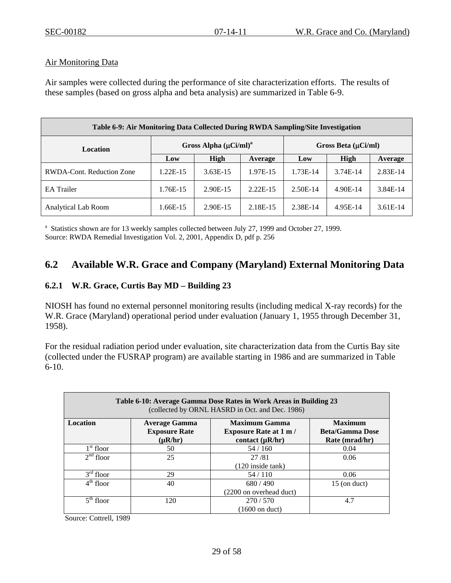#### <span id="page-28-0"></span>Air Monitoring Data

Air samples were collected during the performance of site characterization efforts. The results of these samples (based on gross alpha and beta analysis) are summarized in Table 6-9.

| Table 6-9: Air Monitoring Data Collected During RWDA Sampling/Site Investigation |                                |            |          |                          |          |          |  |  |
|----------------------------------------------------------------------------------|--------------------------------|------------|----------|--------------------------|----------|----------|--|--|
| Location                                                                         | Gross Alpha $(\mu$ Ci/ml $)^a$ |            |          | Gross Beta $(\mu$ Ci/ml) |          |          |  |  |
|                                                                                  | Low                            | High       | Average  | High<br>Low              |          | Average  |  |  |
| RWDA-Cont. Reduction Zone                                                        | $1.22E-15$                     | $3.63E-15$ | 1.97E-15 | 1.73E-14                 | 3.74E-14 | 2.83E-14 |  |  |
| <b>EA</b> Trailer                                                                | 1.76E-15                       | 2.90E-15   | 2.22E-15 | 2.50E-14                 | 4.90E-14 | 3.84E-14 |  |  |
| <b>Analytical Lab Room</b>                                                       | 1.66E-15                       | 2.90E-15   | 2.18E-15 | 2.38E-14                 | 4.95E-14 | 3.61E-14 |  |  |

<sup>a</sup> Statistics shown are for 13 weekly samples collected between July 27, 1999 and October 27, 1999. Source: RWDA Remedial Investigation Vol. 2, 2001, Appendix D, pdf p. 256

## **6.2 Available W.R. Grace and Company (Maryland) External Monitoring Data**

#### **6.2.1 W.R. Grace, Curtis Bay MD – Building 23**

NIOSH has found no external personnel monitoring results (including medical X-ray records) for the W.R. Grace (Maryland) operational period under evaluation (January 1, 1955 through December 31, 1958).

For the residual radiation period under evaluation, site characterization data from the Curtis Bay site (collected under the FUSRAP program) are available starting in 1986 and are summarized in Table 6-10.

| Table 6-10: Average Gamma Dose Rates in Work Areas in Building 23<br>(collected by ORNL HASRD in Oct. and Dec. 1986) |                                                              |                                                                              |                                                            |  |  |
|----------------------------------------------------------------------------------------------------------------------|--------------------------------------------------------------|------------------------------------------------------------------------------|------------------------------------------------------------|--|--|
| <b>Location</b>                                                                                                      | <b>Average Gamma</b><br><b>Exposure Rate</b><br>$(\mu R/hr)$ | <b>Maximum Gamma</b><br><b>Exposure Rate at 1 m/</b><br>contact $(\mu R/hr)$ | <b>Maximum</b><br><b>Beta/Gamma Dose</b><br>Rate (mrad/hr) |  |  |
| $1st$ floor                                                                                                          | 50                                                           | 54/160                                                                       | 0.04                                                       |  |  |
| $2nd$ floor                                                                                                          | 25                                                           | 27/81<br>$(120 \text{ inside tank})$                                         | 0.06                                                       |  |  |
| $3rd$ floor                                                                                                          | 29                                                           | 54/110                                                                       | 0.06                                                       |  |  |
| $4th$ floor                                                                                                          | 40                                                           | 680/490<br>(2200 on overhead duct)                                           | $15$ (on duct)                                             |  |  |
| $5th$ floor                                                                                                          | 120                                                          | 270/570<br>$(1600 \text{ on duct})$                                          | 4.7                                                        |  |  |

Source: Cottrell, 1989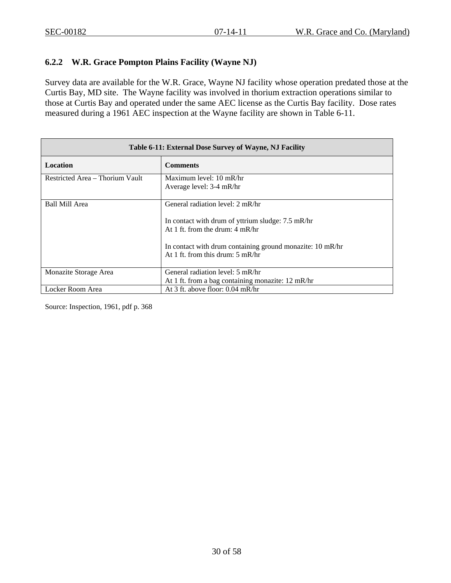#### <span id="page-29-0"></span>**6.2.2 W.R. Grace Pompton Plains Facility (Wayne NJ)**

Survey data are available for the W.R. Grace, Wayne NJ facility whose operation predated those at the Curtis Bay, MD site. The Wayne facility was involved in thorium extraction operations similar to those at Curtis Bay and operated under the same AEC license as the Curtis Bay facility. Dose rates measured during a 1961 AEC inspection at the Wayne facility are shown in Table 6-11.

| Table 6-11: External Dose Survey of Wayne, NJ Facility |                                                                                                                                                                                                                               |  |  |  |
|--------------------------------------------------------|-------------------------------------------------------------------------------------------------------------------------------------------------------------------------------------------------------------------------------|--|--|--|
| <b>Location</b>                                        | <b>Comments</b>                                                                                                                                                                                                               |  |  |  |
| Restricted Area – Thorium Vault                        | Maximum level: 10 mR/hr<br>Average level: 3-4 mR/hr                                                                                                                                                                           |  |  |  |
| <b>Ball Mill Area</b>                                  | General radiation level: 2 mR/hr<br>In contact with drum of yttrium sludge: 7.5 mR/hr<br>At 1 ft. from the drum: $4$ mR/hr<br>In contact with drum containing ground monazite: 10 mR/hr<br>At 1 ft. from this drum: $5$ mR/hr |  |  |  |
| Monazite Storage Area                                  | General radiation level: 5 mR/hr<br>At 1 ft. from a bag containing monazite: 12 mR/hr                                                                                                                                         |  |  |  |
| Locker Room Area                                       | At $3$ ft, above floor: $0.04$ mR/hr                                                                                                                                                                                          |  |  |  |

Source: Inspection, 1961, pdf p. 368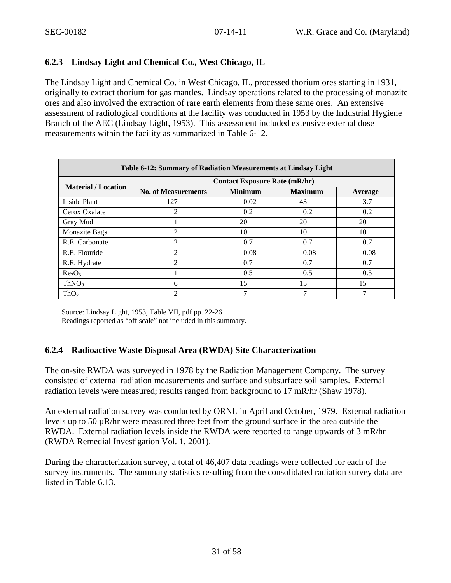#### <span id="page-30-0"></span>**6.2.3 Lindsay Light and Chemical Co., West Chicago, IL**

The Lindsay Light and Chemical Co. in West Chicago, IL, processed thorium ores starting in 1931, originally to extract thorium for gas mantles. Lindsay operations related to the processing of monazite ores and also involved the extraction of rare earth elements from these same ores. An extensive assessment of radiological conditions at the facility was conducted in 1953 by the Industrial Hygiene Branch of the AEC (Lindsay Light, 1953). This assessment included extensive external dose measurements within the facility as summarized in Table 6-12.

| Table 6-12: Summary of Radiation Measurements at Lindsay Light |                                      |                |                |         |  |  |  |  |
|----------------------------------------------------------------|--------------------------------------|----------------|----------------|---------|--|--|--|--|
|                                                                | <b>Contact Exposure Rate (mR/hr)</b> |                |                |         |  |  |  |  |
| <b>Material / Location</b>                                     | <b>No. of Measurements</b>           | <b>Minimum</b> | <b>Maximum</b> | Average |  |  |  |  |
| Inside Plant                                                   | 127                                  | 0.02           | 43             | 3.7     |  |  |  |  |
| Cerox Oxalate                                                  | 2                                    | 0.2            | 0.2            | 0.2     |  |  |  |  |
| Gray Mud                                                       |                                      | 20             | 20             | 20      |  |  |  |  |
| <b>Monazite Bags</b>                                           | 2                                    | 10             | 10             | 10      |  |  |  |  |
| R.E. Carbonate                                                 | 2                                    | 0.7            | 0.7            | 0.7     |  |  |  |  |
| R.E. Flouride                                                  | 2                                    | 0.08           | 0.08           | 0.08    |  |  |  |  |
| R.E. Hydrate                                                   | $\mathfrak{D}$                       | 0.7            | 0.7            | 0.7     |  |  |  |  |
| Re <sub>2</sub> O <sub>3</sub>                                 |                                      | 0.5            | 0.5            | 0.5     |  |  |  |  |
| ThNO <sub>3</sub>                                              | 6                                    | 15             | 15             | 15      |  |  |  |  |
| ThO <sub>2</sub>                                               | 2                                    |                |                |         |  |  |  |  |

Source: Lindsay Light, 1953, Table VII, pdf pp. 22-26

Readings reported as "off scale" not included in this summary.

#### **6.2.4 Radioactive Waste Disposal Area (RWDA) Site Characterization**

The on-site RWDA was surveyed in 1978 by the Radiation Management Company. The survey consisted of external radiation measurements and surface and subsurface soil samples. External radiation levels were measured; results ranged from background to 17 mR/hr (Shaw 1978).

An external radiation survey was conducted by ORNL in April and October, 1979. External radiation levels up to 50 µR/hr were measured three feet from the ground surface in the area outside the RWDA. External radiation levels inside the RWDA were reported to range upwards of 3 mR/hr (RWDA Remedial Investigation Vol. 1, 2001).

During the characterization survey, a total of 46,407 data readings were collected for each of the survey instruments. The summary statistics resulting from the consolidated radiation survey data are listed in Table 6.13.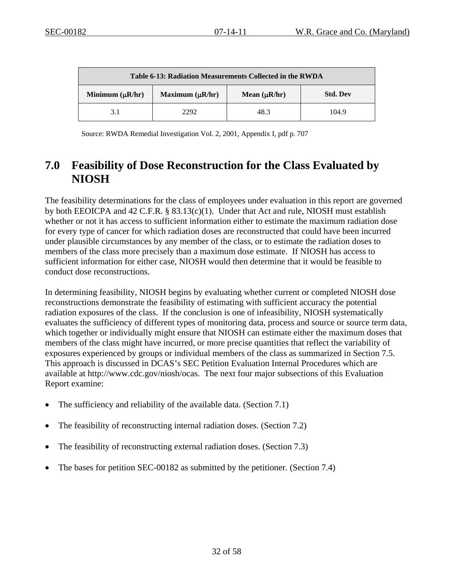<span id="page-31-0"></span>

| Table 6-13: Radiation Measurements Collected in the RWDA                             |      |      |       |  |  |  |
|--------------------------------------------------------------------------------------|------|------|-------|--|--|--|
| <b>Std. Dev</b><br>Maximum $(\mu R/hr)$<br>Minimum $(\mu R/hr)$<br>Mean $(\mu R/hr)$ |      |      |       |  |  |  |
| 3.1                                                                                  | 2292 | 48.3 | 104.9 |  |  |  |

Source: RWDA Remedial Investigation Vol. 2, 2001, Appendix I, pdf p. 707

# **7.0 Feasibility of Dose Reconstruction for the Class Evaluated by NIOSH**

The feasibility determinations for the class of employees under evaluation in this report are governed by both EEOICPA and 42 C.F.R. § 83.13(c)(1). Under that Act and rule, NIOSH must establish whether or not it has access to sufficient information either to estimate the maximum radiation dose for every type of cancer for which radiation doses are reconstructed that could have been incurred under plausible circumstances by any member of the class, or to estimate the radiation doses to members of the class more precisely than a maximum dose estimate. If NIOSH has access to sufficient information for either case, NIOSH would then determine that it would be feasible to conduct dose reconstructions.

In determining feasibility, NIOSH begins by evaluating whether current or completed NIOSH dose reconstructions demonstrate the feasibility of estimating with sufficient accuracy the potential radiation exposures of the class. If the conclusion is one of infeasibility, NIOSH systematically evaluates the sufficiency of different types of monitoring data, process and source or source term data, which together or individually might ensure that NIOSH can estimate either the maximum doses that members of the class might have incurred, or more precise quantities that reflect the variability of exposures experienced by groups or individual members of the class as summarized in Section 7.5. This approach is discussed in DCAS's SEC Petition Evaluation Internal Procedures which are available at http://www.cdc.gov/niosh/ocas. The next four major subsections of this Evaluation Report examine:

- The sufficiency and reliability of the available data. (Section 7.1)
- The feasibility of reconstructing internal radiation doses. (Section 7.2)
- The feasibility of reconstructing external radiation doses. (Section 7.3)
- The bases for petition SEC-00182 as submitted by the petitioner. (Section 7.4)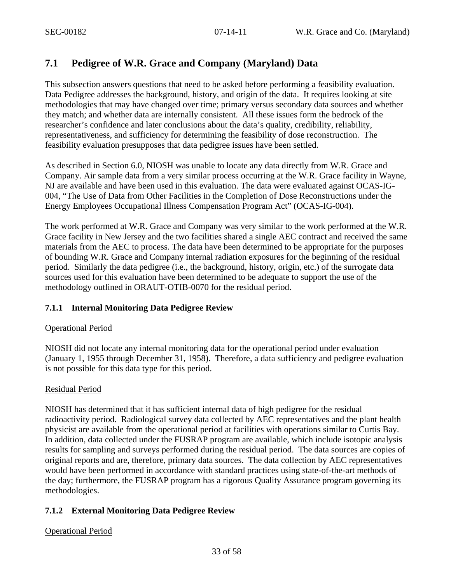## <span id="page-32-0"></span>**7.1 Pedigree of W.R. Grace and Company (Maryland) Data**

This subsection answers questions that need to be asked before performing a feasibility evaluation. Data Pedigree addresses the background, history, and origin of the data. It requires looking at site methodologies that may have changed over time; primary versus secondary data sources and whether they match; and whether data are internally consistent. All these issues form the bedrock of the researcher's confidence and later conclusions about the data's quality, credibility, reliability, representativeness, and sufficiency for determining the feasibility of dose reconstruction. The feasibility evaluation presupposes that data pedigree issues have been settled.

As described in Section 6.0, NIOSH was unable to locate any data directly from W.R. Grace and Company. Air sample data from a very similar process occurring at the W.R. Grace facility in Wayne, NJ are available and have been used in this evaluation. The data were evaluated against OCAS-IG-004, "The Use of Data from Other Facilities in the Completion of Dose Reconstructions under the Energy Employees Occupational Illness Compensation Program Act" (OCAS-IG-004).

The work performed at W.R. Grace and Company was very similar to the work performed at the W.R. Grace facility in New Jersey and the two facilities shared a single AEC contract and received the same materials from the AEC to process. The data have been determined to be appropriate for the purposes of bounding W.R. Grace and Company internal radiation exposures for the beginning of the residual period. Similarly the data pedigree (i.e., the background, history, origin, etc.) of the surrogate data sources used for this evaluation have been determined to be adequate to support the use of the methodology outlined in ORAUT-OTIB-0070 for the residual period.

### **7.1.1 Internal Monitoring Data Pedigree Review**

#### Operational Period

NIOSH did not locate any internal monitoring data for the operational period under evaluation (January 1, 1955 through December 31, 1958). Therefore, a data sufficiency and pedigree evaluation is not possible for this data type for this period.

#### Residual Period

NIOSH has determined that it has sufficient internal data of high pedigree for the residual radioactivity period. Radiological survey data collected by AEC representatives and the plant health physicist are available from the operational period at facilities with operations similar to Curtis Bay. In addition, data collected under the FUSRAP program are available, which include isotopic analysis results for sampling and surveys performed during the residual period. The data sources are copies of original reports and are, therefore, primary data sources. The data collection by AEC representatives would have been performed in accordance with standard practices using state-of-the-art methods of the day; furthermore, the FUSRAP program has a rigorous Quality Assurance program governing its methodologies.

### **7.1.2 External Monitoring Data Pedigree Review**

Operational Period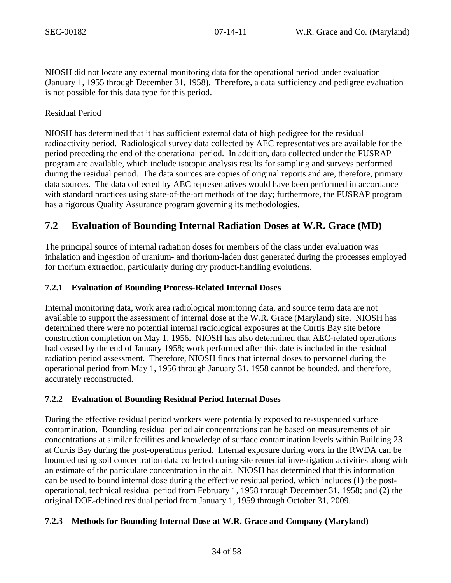<span id="page-33-0"></span>NIOSH did not locate any external monitoring data for the operational period under evaluation (January 1, 1955 through December 31, 1958). Therefore, a data sufficiency and pedigree evaluation is not possible for this data type for this period.

#### Residual Period

NIOSH has determined that it has sufficient external data of high pedigree for the residual radioactivity period. Radiological survey data collected by AEC representatives are available for the period preceding the end of the operational period. In addition, data collected under the FUSRAP program are available, which include isotopic analysis results for sampling and surveys performed during the residual period. The data sources are copies of original reports and are, therefore, primary data sources. The data collected by AEC representatives would have been performed in accordance with standard practices using state-of-the-art methods of the day; furthermore, the FUSRAP program has a rigorous Quality Assurance program governing its methodologies.

## **7.2 Evaluation of Bounding Internal Radiation Doses at W.R. Grace (MD)**

The principal source of internal radiation doses for members of the class under evaluation was inhalation and ingestion of uranium- and thorium-laden dust generated during the processes employed for thorium extraction, particularly during dry product-handling evolutions.

#### **7.2.1 Evaluation of Bounding Process-Related Internal Doses**

Internal monitoring data, work area radiological monitoring data, and source term data are not available to support the assessment of internal dose at the W.R. Grace (Maryland) site. NIOSH has determined there were no potential internal radiological exposures at the Curtis Bay site before construction completion on May 1, 1956. NIOSH has also determined that AEC-related operations had ceased by the end of January 1958; work performed after this date is included in the residual radiation period assessment. Therefore, NIOSH finds that internal doses to personnel during the operational period from May 1, 1956 through January 31, 1958 cannot be bounded, and therefore, accurately reconstructed.

### **7.2.2 Evaluation of Bounding Residual Period Internal Doses**

During the effective residual period workers were potentially exposed to re-suspended surface contamination. Bounding residual period air concentrations can be based on measurements of air concentrations at similar facilities and knowledge of surface contamination levels within Building 23 at Curtis Bay during the post-operations period. Internal exposure during work in the RWDA can be bounded using soil concentration data collected during site remedial investigation activities along with an estimate of the particulate concentration in the air. NIOSH has determined that this information can be used to bound internal dose during the effective residual period, which includes (1) the postoperational, technical residual period from February 1, 1958 through December 31, 1958; and (2) the original DOE-defined residual period from January 1, 1959 through October 31, 2009.

### **7.2.3 Methods for Bounding Internal Dose at W.R. Grace and Company (Maryland)**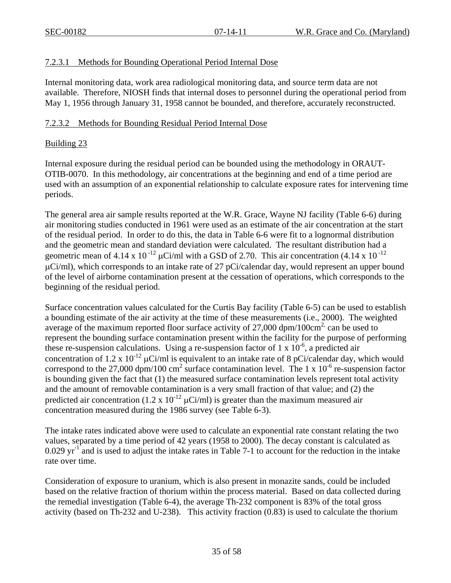#### <span id="page-34-0"></span>7.2.3.1 Methods for Bounding Operational Period Internal Dose

Internal monitoring data, work area radiological monitoring data, and source term data are not available. Therefore, NIOSH finds that internal doses to personnel during the operational period from May 1, 1956 through January 31, 1958 cannot be bounded, and therefore, accurately reconstructed.

#### 7.2.3.2 Methods for Bounding Residual Period Internal Dose

#### Building 23

Internal exposure during the residual period can be bounded using the methodology in ORAUT-OTIB-0070. In this methodology, air concentrations at the beginning and end of a time period are used with an assumption of an exponential relationship to calculate exposure rates for intervening time periods.

The general area air sample results reported at the W.R. Grace, Wayne NJ facility (Table 6-6) during air monitoring studies conducted in 1961 were used as an estimate of the air concentration at the start of the residual period. In order to do this, the data in Table 6-6 were fit to a lognormal distribution and the geometric mean and standard deviation were calculated. The resultant distribution had a geometric mean of 4.14 x 10<sup>-12</sup>  $\mu$ Ci/ml with a GSD of 2.70. This air concentration (4.14 x 10<sup>-12</sup>)  $\mu$ Ci/ml), which corresponds to an intake rate of 27 pCi/calendar day, would represent an upper bound of the level of airborne contamination present at the cessation of operations, which corresponds to the beginning of the residual period.

Surface concentration values calculated for the Curtis Bay facility (Table 6-5) can be used to establish a bounding estimate of the air activity at the time of these measurements (i.e., 2000). The weighted average of the maximum reported floor surface activity of  $27,000$  dpm/100cm<sup>2</sup> can be used to represent the bounding surface contamination present within the facility for the purpose of performing these re-suspension calculations. Using a re-suspension factor of 1 x  $10^{-6}$ , a predicted air concentration of 1.2 x  $10^{-12}$   $\mu$ Ci/ml is equivalent to an intake rate of 8 pCi/calendar day, which would correspond to the 27,000 dpm/100 cm<sup>2</sup> surface contamination level. The 1 x  $10^{-6}$  re-suspension factor is bounding given the fact that (1) the measured surface contamination levels represent total activity and the amount of removable contamination is a very small fraction of that value; and (2) the predicted air concentration (1.2 x  $10^{-12}$   $\mu$ Ci/ml) is greater than the maximum measured air concentration measured during the 1986 survey (see Table 6-3).

The intake rates indicated above were used to calculate an exponential rate constant relating the two values, separated by a time period of 42 years (1958 to 2000). The decay constant is calculated as  $0.029$  yr<sup>-1</sup> and is used to adjust the intake rates in Table 7-1 to account for the reduction in the intake rate over time.

Consideration of exposure to uranium, which is also present in monazite sands, could be included based on the relative fraction of thorium within the process material. Based on data collected during the remedial investigation (Table 6-4), the average Th-232 component is 83% of the total gross activity (based on Th-232 and U-238). This activity fraction (0.83) is used to calculate the thorium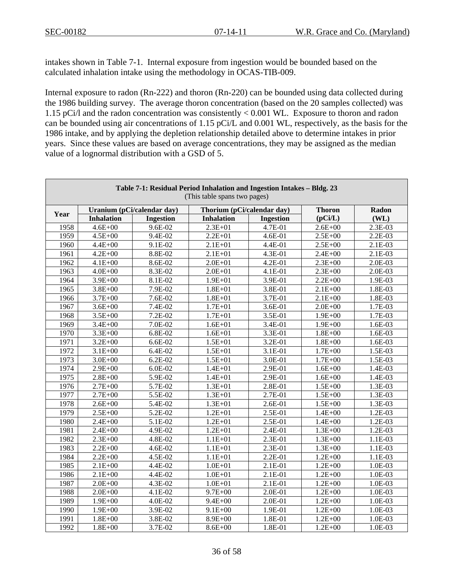<span id="page-35-0"></span>intakes shown in Table 7-1. Internal exposure from ingestion would be bounded based on the calculated inhalation intake using the methodology in OCAS-TIB-009.

Internal exposure to radon (Rn-222) and thoron (Rn-220) can be bounded using data collected during the 1986 building survey. The average thoron concentration (based on the 20 samples collected) was 1.15 pCi/l and the radon concentration was consistently < 0.001 WL. Exposure to thoron and radon can be bounded using air concentrations of 1.15 pCi/L and 0.001 WL, respectively, as the basis for the 1986 intake, and by applying the depletion relationship detailed above to determine intakes in prior years. Since these values are based on average concentrations, they may be assigned as the median value of a lognormal distribution with a GSD of 5.

| Table 7-1: Residual Period Inhalation and Ingestion Intakes - Bldg. 23<br>(This table spans two pages) |                                                          |                  |                   |                  |             |         |  |
|--------------------------------------------------------------------------------------------------------|----------------------------------------------------------|------------------|-------------------|------------------|-------------|---------|--|
|                                                                                                        | Uranium (pCi/calendar day)<br>Thorium (pCi/calendar day) |                  |                   | <b>Thoron</b>    | Radon       |         |  |
| Year                                                                                                   | <b>Inhalation</b>                                        | <b>Ingestion</b> | <b>Inhalation</b> | <b>Ingestion</b> | (pCi/L)     | (WL)    |  |
| 1958                                                                                                   | $4.6E + 00$                                              | $9.6E - 02$      | $2.3E + 01$       | 4.7E-01          | $2.6E + 00$ | 2.3E-03 |  |
| 1959                                                                                                   | $4.5E + 00$                                              | 9.4E-02          | $2.2E + 01$       | 4.6E-01          | $2.5E + 00$ | 2.2E-03 |  |
| 1960                                                                                                   | $4.4E + 00$                                              | 9.1E-02          | $2.1E + 01$       | 4.4E-01          | $2.5E + 00$ | 2.1E-03 |  |
| 1961                                                                                                   | $4.2E + 00$                                              | 8.8E-02          | $2.1E + 01$       | 4.3E-01          | $2.4E + 00$ | 2.1E-03 |  |
| 1962                                                                                                   | $4.1E + 00$                                              | 8.6E-02          | $2.0E + 01$       | 4.2E-01          | $2.3E + 00$ | 2.0E-03 |  |
| 1963                                                                                                   | $4.0E + 00$                                              | 8.3E-02          | $2.0E + 01$       | 4.1E-01          | $2.3E + 00$ | 2.0E-03 |  |
| 1964                                                                                                   | $3.9E + 00$                                              | 8.1E-02          | $1.9E + 01$       | 3.9E-01          | $2.2E + 00$ | 1.9E-03 |  |
| 1965                                                                                                   | $3.8E + 00$                                              | 7.9E-02          | $1.8E + 01$       | 3.8E-01          | $2.1E + 00$ | 1.8E-03 |  |
| 1966                                                                                                   | $3.7E + 00$                                              | 7.6E-02          | $1.8E + 01$       | 3.7E-01          | $2.1E + 00$ | 1.8E-03 |  |
| 1967                                                                                                   | $3.6E + 00$                                              | 7.4E-02          | $1.7E + 01$       | 3.6E-01          | $2.0E + 00$ | 1.7E-03 |  |
| 1968                                                                                                   | $3.5E + 00$                                              | 7.2E-02          | $1.7E + 01$       | 3.5E-01          | $1.9E + 00$ | 1.7E-03 |  |
| 1969                                                                                                   | $3.4E + 00$                                              | 7.0E-02          | $1.6E + 01$       | $3.4E-01$        | $1.9E + 00$ | 1.6E-03 |  |
| 1970                                                                                                   | $3.3E + 00$                                              | 6.8E-02          | $1.6E + 01$       | 3.3E-01          | $1.8E + 00$ | 1.6E-03 |  |
| 1971                                                                                                   | $3.2E + 00$                                              | 6.6E-02          | $1.5E + 01$       | 3.2E-01          | $1.8E + 00$ | 1.6E-03 |  |
| 1972                                                                                                   | $3.1E + 00$                                              | 6.4E-02          | $1.5E + 01$       | 3.1E-01          | $1.7E + 00$ | 1.5E-03 |  |
| 1973                                                                                                   | $3.0E + 00$                                              | 6.2E-02          | $1.5E + 01$       | 3.0E-01          | $1.7E + 00$ | 1.5E-03 |  |
| 1974                                                                                                   | $2.9E + 00$                                              | 6.0E-02          | $1.4E + 01$       | 2.9E-01          | $1.6E + 00$ | 1.4E-03 |  |
| 1975                                                                                                   | $2.8E + 00$                                              | 5.9E-02          | $1.4E + 01$       | 2.9E-01          | $1.6E + 00$ | 1.4E-03 |  |
| 1976                                                                                                   | $2.7E + 00$                                              | 5.7E-02          | $1.3E + 01$       | $2.8E-01$        | $1.5E + 00$ | 1.3E-03 |  |
| 1977                                                                                                   | $2.7E + 00$                                              | 5.5E-02          | $1.3E + 01$       | $2.7E-01$        | $1.5E + 00$ | 1.3E-03 |  |
| 1978                                                                                                   | $2.6E + 00$                                              | 5.4E-02          | $1.3E + 01$       | 2.6E-01          | $1.5E + 00$ | 1.3E-03 |  |
| 1979                                                                                                   | $2.5E + 00$                                              | 5.2E-02          | $1.2E + 01$       | 2.5E-01          | $1.4E + 00$ | 1.2E-03 |  |
| 1980                                                                                                   | $2.4E + 00$                                              | 5.1E-02          | $1.2E + 01$       | 2.5E-01          | $1.4E + 00$ | 1.2E-03 |  |
| 1981                                                                                                   | $2.4E + 00$                                              | 4.9E-02          | $1.2E + 01$       | 2.4E-01          | $1.3E + 00$ | 1.2E-03 |  |
| 1982                                                                                                   | $2.3E + 00$                                              | 4.8E-02          | $1.1E + 01$       | 2.3E-01          | $1.3E + 00$ | 1.1E-03 |  |
| 1983                                                                                                   | $2.2E + 00$                                              | 4.6E-02          | $1.1E + 01$       | 2.3E-01          | $1.3E + 00$ | 1.1E-03 |  |
| 1984                                                                                                   | $2.2E + 00$                                              | 4.5E-02          | $1.1E + 01$       | 2.2E-01          | $1.2E + 00$ | 1.1E-03 |  |
| 1985                                                                                                   | $2.1E + 00$                                              | 4.4E-02          | $1.0E + 01$       | 2.1E-01          | $1.2E + 00$ | 1.0E-03 |  |
| 1986                                                                                                   | $2.1E + 00$                                              | 4.4E-02          | $1.0E + 01$       | 2.1E-01          | $1.2E + 00$ | 1.0E-03 |  |
| 1987                                                                                                   | $2.0E + 00$                                              | 4.3E-02          | $1.0E + 01$       | 2.1E-01          | $1.2E + 00$ | 1.0E-03 |  |
| 1988                                                                                                   | $2.0E + 00$                                              | 4.1E-02          | $9.7E + 00$       | 2.0E-01          | $1.2E + 00$ | 1.0E-03 |  |
| 1989                                                                                                   | $1.9E + 00$                                              | 4.0E-02          | $9.4E + 00$       | 2.0E-01          | $1.2E + 00$ | 1.0E-03 |  |
| 1990                                                                                                   | $1.9E + 00$                                              | 3.9E-02          | $9.1E + 00$       | 1.9E-01          | $1.2E + 00$ | 1.0E-03 |  |
| 1991                                                                                                   | $1.8E + 00$                                              | 3.8E-02          | 8.9E+00           | 1.8E-01          | $1.2E + 00$ | 1.0E-03 |  |
| 1992                                                                                                   | $1.8E + 00$                                              | 3.7E-02          | $8.6E + 00$       | 1.8E-01          | $1.2E + 00$ | 1.0E-03 |  |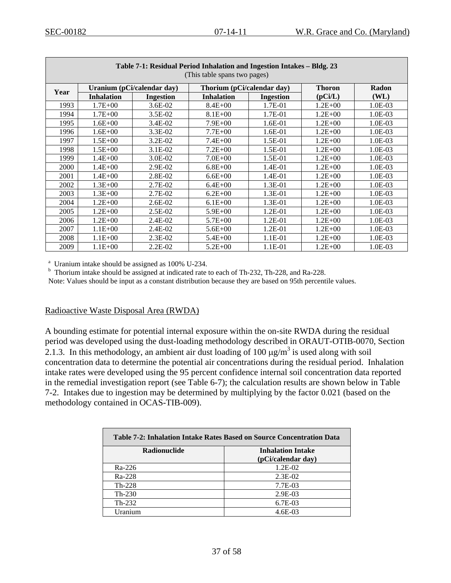<span id="page-36-0"></span>

| Table 7-1: Residual Period Inhalation and Ingestion Intakes - Bldg. 23 |                   |                            |                            |                  |               |         |  |  |
|------------------------------------------------------------------------|-------------------|----------------------------|----------------------------|------------------|---------------|---------|--|--|
| (This table spans two pages)                                           |                   |                            |                            |                  |               |         |  |  |
| Year                                                                   |                   | Uranium (pCi/calendar day) | Thorium (pCi/calendar day) |                  | <b>Thoron</b> | Radon   |  |  |
|                                                                        | <b>Inhalation</b> | <b>Ingestion</b>           | <b>Inhalation</b>          | <b>Ingestion</b> | (pCi/L)       | (WL)    |  |  |
| 1993                                                                   | $1.7E + 00$       | $3.6E-02$                  | $8.4E + 00$                | 1.7E-01          | $1.2E + 00$   | 1.0E-03 |  |  |
| 1994                                                                   | $1.7E + 00$       | 3.5E-02                    | $8.1E + 00$                | 1.7E-01          | $1.2E + 00$   | 1.0E-03 |  |  |
| 1995                                                                   | $1.6E + 00$       | 3.4E-02                    | $7.9E + 00$                | $1.6E-01$        | $1.2E + 00$   | 1.0E-03 |  |  |
| 1996                                                                   | $1.6E + 00$       | 3.3E-02                    | $7.7E + 00$                | $1.6E-01$        | $1.2E + 00$   | 1.0E-03 |  |  |
| 1997                                                                   | $1.5E + 00$       | 3.2E-02                    | $7.4E + 00$                | 1.5E-01          | $1.2E + 00$   | 1.0E-03 |  |  |
| 1998                                                                   | $1.5E + 00$       | 3.1E-02                    | $7.2E + 00$                | $1.5E-01$        | $1.2E + 00$   | 1.0E-03 |  |  |
| 1999                                                                   | $1.4E + 00$       | 3.0E-02                    | $7.0E + 00$                | 1.5E-01          | $1.2E + 00$   | 1.0E-03 |  |  |
| 2000                                                                   | $1.4E + 00$       | 2.9E-02                    | $6.8E + 00$                | 1.4E-01          | $1.2E + 00$   | 1.0E-03 |  |  |
| 2001                                                                   | $1.4E + 00$       | 2.8E-02                    | $6.6E + 00$                | 1.4E-01          | $1.2E + 00$   | 1.0E-03 |  |  |
| 2002                                                                   | $1.3E + 00$       | 2.7E-02                    | $6.4E + 00$                | $1.3E-01$        | $1.2E + 00$   | 1.0E-03 |  |  |
| 2003                                                                   | $1.3E + 00$       | 2.7E-02                    | $6.2E + 00$                | $1.3E-01$        | $1.2E + 00$   | 1.0E-03 |  |  |
| 2004                                                                   | $1.2E + 00$       | $2.6E-02$                  | $6.1E + 00$                | $1.3E-01$        | $1.2E + 00$   | 1.0E-03 |  |  |
| 2005                                                                   | $1.2E + 00$       | $2.5E-02$                  | $5.9E + 00$                | 1.2E-01          | $1.2E + 00$   | 1.0E-03 |  |  |
| 2006                                                                   | $1.2E + 00$       | 2.4E-02                    | $5.7E + 00$                | 1.2E-01          | $1.2E + 00$   | 1.0E-03 |  |  |
| 2007                                                                   | $1.1E + 00$       | 2.4E-02                    | $5.6E + 00$                | $1.2E - 01$      | $1.2E + 00$   | 1.0E-03 |  |  |
| 2008                                                                   | $1.1E + 00$       | $2.3E-02$                  | $5.4E + 00$                | 1.1E-01          | $1.2E + 00$   | 1.0E-03 |  |  |
| 2009                                                                   | $1.1E + 00$       | $2.2E-02$                  | $5.2E + 00$                | 1.1E-01          | $1.2E + 00$   | 1.0E-03 |  |  |

<sup>a</sup> Uranium intake should be assigned as 100% U-234.

<sup>b</sup> Thorium intake should be assigned at indicated rate to each of Th-232, Th-228, and Ra-228.

Note: Values should be input as a constant distribution because they are based on 95th percentile values.

#### Radioactive Waste Disposal Area (RWDA)

A bounding estimate for potential internal exposure within the on-site RWDA during the residual period was developed using the dust-loading methodology described in ORAUT-OTIB-0070, Section 2.1.3. In this methodology, an ambient air dust loading of 100  $\mu$ g/m<sup>3</sup> is used along with soil concentration data to determine the potential air concentrations during the residual period. Inhalation intake rates were developed using the 95 percent confidence internal soil concentration data reported in the remedial investigation report (see Table 6-7); the calculation results are shown below in Table 7-2. Intakes due to ingestion may be determined by multiplying by the factor 0.021 (based on the methodology contained in OCAS-TIB-009).

| Table 7-2: Inhalation Intake Rates Based on Source Concentration Data |                                                |  |  |  |  |
|-----------------------------------------------------------------------|------------------------------------------------|--|--|--|--|
| <b>Radionuclide</b>                                                   | <b>Inhalation Intake</b><br>(pCi/calendar day) |  |  |  |  |
| Ra-226                                                                | $1.2E-02$                                      |  |  |  |  |
| Ra-228                                                                | $2.3E-02$                                      |  |  |  |  |
| Th-228                                                                | 7.7E-03                                        |  |  |  |  |
| $Th-230$                                                              | $2.9E-03$                                      |  |  |  |  |
| Th-232                                                                | $6.7E-03$                                      |  |  |  |  |
| <b>Hanium</b>                                                         | $4.6E-03$                                      |  |  |  |  |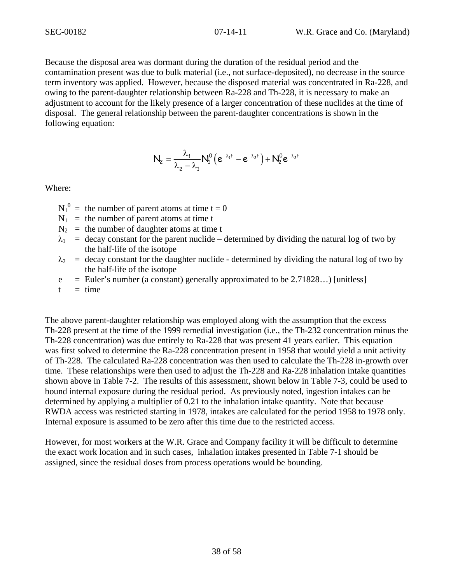Because the disposal area was dormant during the duration of the residual period and the contamination present was due to bulk material (i.e., not surface-deposited), no decrease in the source term inventory was applied. However, because the disposed material was concentrated in Ra-228, and owing to the parent-daughter relationship between Ra-228 and Th-228, it is necessary to make an adjustment to account for the likely presence of a larger concentration of these nuclides at the time of disposal. The general relationship between the parent-daughter concentrations is shown in the following equation:

$$
N_2=\frac{\lambda_1}{\lambda_2-\lambda_1}N_1^0\left(e^{-\lambda_1 t}-e^{-\lambda_2 t}\right)+N_2^0e^{-\lambda_2 t}
$$

Where:

 $N_1^0$  = the number of parent atoms at time t = 0

- $N_1$  = the number of parent atoms at time t
- $N_2$  = the number of daughter atoms at time t
- $\lambda_1$  = decay constant for the parent nuclide determined by dividing the natural log of two by the half-life of the isotope
- $\lambda_2$  = decay constant for the daughter nuclide determined by dividing the natural log of two by the half-life of the isotope
- $e$  = Euler's number (a constant) generally approximated to be 2.71828...) [unitless]
- $t = time$

The above parent-daughter relationship was employed along with the assumption that the excess Th-228 present at the time of the 1999 remedial investigation (i.e., the Th-232 concentration minus the Th-228 concentration) was due entirely to Ra-228 that was present 41 years earlier. This equation was first solved to determine the Ra-228 concentration present in 1958 that would yield a unit activity of Th-228. The calculated Ra-228 concentration was then used to calculate the Th-228 in-growth over time. These relationships were then used to adjust the Th-228 and Ra-228 inhalation intake quantities shown above in Table 7-2. The results of this assessment, shown below in Table 7-3, could be used to bound internal exposure during the residual period. As previously noted, ingestion intakes can be determined by applying a multiplier of 0.21 to the inhalation intake quantity. Note that because RWDA access was restricted starting in 1978, intakes are calculated for the period 1958 to 1978 only. Internal exposure is assumed to be zero after this time due to the restricted access.

However, for most workers at the W.R. Grace and Company facility it will be difficult to determine the exact work location and in such cases, inhalation intakes presented in Table 7-1 should be assigned, since the residual doses from process operations would be bounding.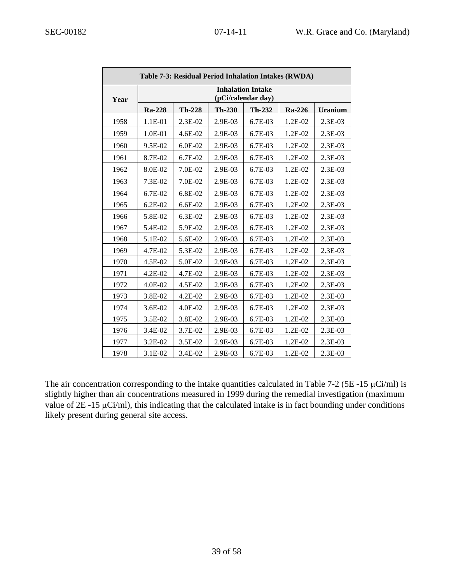<span id="page-38-0"></span>

|      | Table 7-3: Residual Period Inhalation Intakes (RWDA) |           |           |         |         |                |  |  |  |
|------|------------------------------------------------------|-----------|-----------|---------|---------|----------------|--|--|--|
| Year | <b>Inhalation Intake</b><br>(pCi/calendar day)       |           |           |         |         |                |  |  |  |
|      | <b>Ra-228</b>                                        | $Th-228$  | Th-230    | Th-232  | Ra-226  | <b>Uranium</b> |  |  |  |
| 1958 | 1.1E-01                                              | $2.3E-02$ | 2.9E-03   | 6.7E-03 | 1.2E-02 | 2.3E-03        |  |  |  |
| 1959 | 1.0E-01                                              | 4.6E-02   | 2.9E-03   | 6.7E-03 | 1.2E-02 | 2.3E-03        |  |  |  |
| 1960 | 9.5E-02                                              | 6.0E-02   | 2.9E-03   | 6.7E-03 | 1.2E-02 | 2.3E-03        |  |  |  |
| 1961 | 8.7E-02                                              | 6.7E-02   | 2.9E-03   | 6.7E-03 | 1.2E-02 | $2.3E-03$      |  |  |  |
| 1962 | 8.0E-02                                              | 7.0E-02   | 2.9E-03   | 6.7E-03 | 1.2E-02 | 2.3E-03        |  |  |  |
| 1963 | 7.3E-02                                              | 7.0E-02   | 2.9E-03   | 6.7E-03 | 1.2E-02 | $2.3E-03$      |  |  |  |
| 1964 | 6.7E-02                                              | 6.8E-02   | 2.9E-03   | 6.7E-03 | 1.2E-02 | $2.3E-03$      |  |  |  |
| 1965 | $6.2E-02$                                            | $6.6E-02$ | 2.9E-03   | 6.7E-03 | 1.2E-02 | $2.3E-03$      |  |  |  |
| 1966 | 5.8E-02                                              | 6.3E-02   | 2.9E-03   | 6.7E-03 | 1.2E-02 | 2.3E-03        |  |  |  |
| 1967 | 5.4E-02                                              | 5.9E-02   | $2.9E-03$ | 6.7E-03 | 1.2E-02 | $2.3E-03$      |  |  |  |
| 1968 | 5.1E-02                                              | 5.6E-02   | 2.9E-03   | 6.7E-03 | 1.2E-02 | 2.3E-03        |  |  |  |
| 1969 | 4.7E-02                                              | 5.3E-02   | $2.9E-03$ | 6.7E-03 | 1.2E-02 | $2.3E-03$      |  |  |  |
| 1970 | 4.5E-02                                              | 5.0E-02   | 2.9E-03   | 6.7E-03 | 1.2E-02 | 2.3E-03        |  |  |  |
| 1971 | 4.2E-02                                              | 4.7E-02   | 2.9E-03   | 6.7E-03 | 1.2E-02 | 2.3E-03        |  |  |  |
| 1972 | 4.0E-02                                              | 4.5E-02   | 2.9E-03   | 6.7E-03 | 1.2E-02 | 2.3E-03        |  |  |  |
| 1973 | 3.8E-02                                              | $4.2E-02$ | 2.9E-03   | 6.7E-03 | 1.2E-02 | $2.3E-03$      |  |  |  |
| 1974 | 3.6E-02                                              | 4.0E-02   | 2.9E-03   | 6.7E-03 | 1.2E-02 | 2.3E-03        |  |  |  |
| 1975 | 3.5E-02                                              | 3.8E-02   | 2.9E-03   | 6.7E-03 | 1.2E-02 | 2.3E-03        |  |  |  |
| 1976 | 3.4E-02                                              | 3.7E-02   | 2.9E-03   | 6.7E-03 | 1.2E-02 | 2.3E-03        |  |  |  |
| 1977 | 3.2E-02                                              | 3.5E-02   | 2.9E-03   | 6.7E-03 | 1.2E-02 | 2.3E-03        |  |  |  |
| 1978 | 3.1E-02                                              | 3.4E-02   | 2.9E-03   | 6.7E-03 | 1.2E-02 | 2.3E-03        |  |  |  |

The air concentration corresponding to the intake quantities calculated in Table 7-2 (5E -15 μCi/ml) is slightly higher than air concentrations measured in 1999 during the remedial investigation (maximum value of 2E -15 μCi/ml), this indicating that the calculated intake is in fact bounding under conditions likely present during general site access.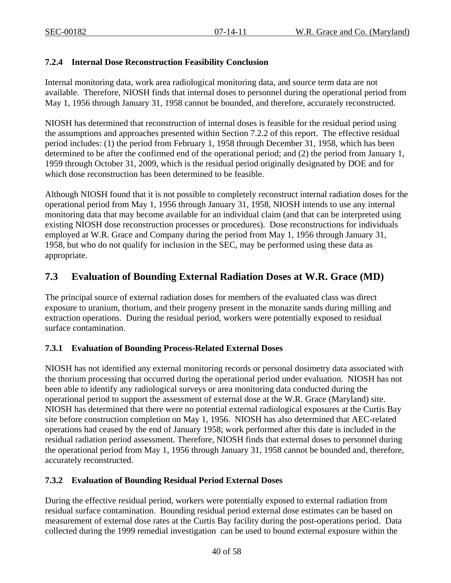#### <span id="page-39-0"></span>**7.2.4 Internal Dose Reconstruction Feasibility Conclusion**

Internal monitoring data, work area radiological monitoring data, and source term data are not available. Therefore, NIOSH finds that internal doses to personnel during the operational period from May 1, 1956 through January 31, 1958 cannot be bounded, and therefore, accurately reconstructed.

NIOSH has determined that reconstruction of internal doses is feasible for the residual period using the assumptions and approaches presented within Section 7.2.2 of this report. The effective residual period includes: (1) the period from February 1, 1958 through December 31, 1958, which has been determined to be after the confirmed end of the operational period; and (2) the period from January 1, 1959 through October 31, 2009, which is the residual period originally designated by DOE and for which dose reconstruction has been determined to be feasible.

Although NIOSH found that it is not possible to completely reconstruct internal radiation doses for the operational period from May 1, 1956 through January 31, 1958, NIOSH intends to use any internal monitoring data that may become available for an individual claim (and that can be interpreted using existing NIOSH dose reconstruction processes or procedures). Dose reconstructions for individuals employed at W.R. Grace and Company during the period from May 1, 1956 through January 31, 1958, but who do not qualify for inclusion in the SEC, may be performed using these data as appropriate.

## **7.3 Evaluation of Bounding External Radiation Doses at W.R. Grace (MD)**

The principal source of external radiation doses for members of the evaluated class was direct exposure to uranium, thorium, and their progeny present in the monazite sands during milling and extraction operations. During the residual period, workers were potentially exposed to residual surface contamination.

#### **7.3.1 Evaluation of Bounding Process-Related External Doses**

NIOSH has not identified any external monitoring records or personal dosimetry data associated with the thorium processing that occurred during the operational period under evaluation. NIOSH has not been able to identify any radiological surveys or area monitoring data conducted during the operational period to support the assessment of external dose at the W.R. Grace (Maryland) site. NIOSH has determined that there were no potential external radiological exposures at the Curtis Bay site before construction completion on May 1, 1956. NIOSH has also determined that AEC-related operations had ceased by the end of January 1958; work performed after this date is included in the residual radiation period assessment. Therefore, NIOSH finds that external doses to personnel during the operational period from May 1, 1956 through January 31, 1958 cannot be bounded and, therefore, accurately reconstructed.

#### **7.3.2 Evaluation of Bounding Residual Period External Doses**

During the effective residual period, workers were potentially exposed to external radiation from residual surface contamination. Bounding residual period external dose estimates can be based on measurement of external dose rates at the Curtis Bay facility during the post-operations period. Data collected during the 1999 remedial investigation can be used to bound external exposure within the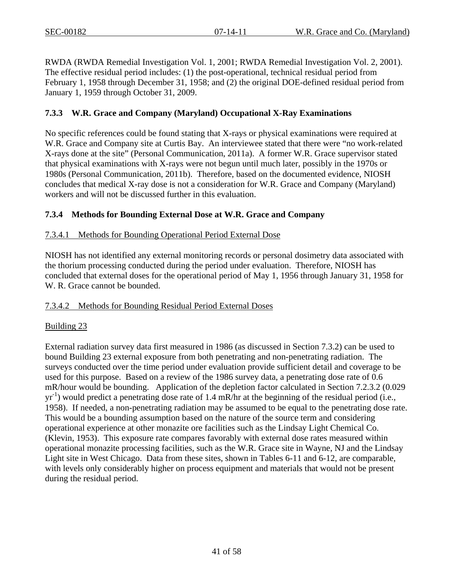<span id="page-40-0"></span>RWDA (RWDA Remedial Investigation Vol. 1, 2001; RWDA Remedial Investigation Vol. 2, 2001). The effective residual period includes: (1) the post-operational, technical residual period from February 1, 1958 through December 31, 1958; and (2) the original DOE-defined residual period from January 1, 1959 through October 31, 2009.

#### **7.3.3 W.R. Grace and Company (Maryland) Occupational X-Ray Examinations**

No specific references could be found stating that X-rays or physical examinations were required at W.R. Grace and Company site at Curtis Bay. An interviewee stated that there were "no work-related X-rays done at the site" (Personal Communication, 2011a). A former W.R. Grace supervisor stated that physical examinations with X-rays were not begun until much later, possibly in the 1970s or 1980s (Personal Communication, 2011b). Therefore, based on the documented evidence, NIOSH concludes that medical X-ray dose is not a consideration for W.R. Grace and Company (Maryland) workers and will not be discussed further in this evaluation.

#### **7.3.4 Methods for Bounding External Dose at W.R. Grace and Company**

#### 7.3.4.1 Methods for Bounding Operational Period External Dose

NIOSH has not identified any external monitoring records or personal dosimetry data associated with the thorium processing conducted during the period under evaluation. Therefore, NIOSH has concluded that external doses for the operational period of May 1, 1956 through January 31, 1958 for W. R. Grace cannot be bounded.

#### 7.3.4.2 Methods for Bounding Residual Period External Doses

#### Building 23

External radiation survey data first measured in 1986 (as discussed in Section 7.3.2) can be used to bound Building 23 external exposure from both penetrating and non-penetrating radiation. The surveys conducted over the time period under evaluation provide sufficient detail and coverage to be used for this purpose. Based on a review of the 1986 survey data, a penetrating dose rate of 0.6 mR/hour would be bounding. Application of the depletion factor calculated in Section 7.2.3.2 (0.029 yr<sup>-1</sup>) would predict a penetrating dose rate of 1.4 mR/hr at the beginning of the residual period (i.e., 1958). If needed, a non-penetrating radiation may be assumed to be equal to the penetrating dose rate. This would be a bounding assumption based on the nature of the source term and considering operational experience at other monazite ore facilities such as the Lindsay Light Chemical Co. (Klevin, 1953). This exposure rate compares favorably with external dose rates measured within operational monazite processing facilities, such as the W.R. Grace site in Wayne, NJ and the Lindsay Light site in West Chicago. Data from these sites, shown in Tables 6-11 and 6-12, are comparable, with levels only considerably higher on process equipment and materials that would not be present during the residual period.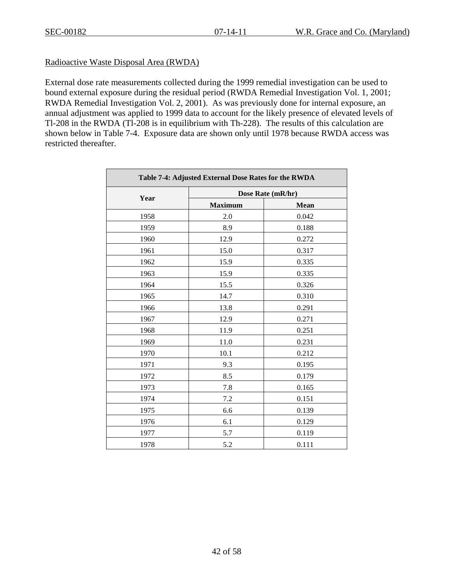#### <span id="page-41-0"></span>Radioactive Waste Disposal Area (RWDA)

External dose rate measurements collected during the 1999 remedial investigation can be used to bound external exposure during the residual period (RWDA Remedial Investigation Vol. 1, 2001; RWDA Remedial Investigation Vol. 2, 2001). As was previously done for internal exposure, an annual adjustment was applied to 1999 data to account for the likely presence of elevated levels of Tl-208 in the RWDA (Tl-208 is in equilibrium with Th-228). The results of this calculation are shown below in Table 7-4. Exposure data are shown only until 1978 because RWDA access was restricted thereafter.

| Table 7-4: Adjusted External Dose Rates for the RWDA |                   |             |  |
|------------------------------------------------------|-------------------|-------------|--|
| Year                                                 | Dose Rate (mR/hr) |             |  |
|                                                      | <b>Maximum</b>    | <b>Mean</b> |  |
| 1958                                                 | 2.0               | 0.042       |  |
| 1959                                                 | 8.9               | 0.188       |  |
| 1960                                                 | 12.9              | 0.272       |  |
| 1961                                                 | 15.0              | 0.317       |  |
| 1962                                                 | 15.9              | 0.335       |  |
| 1963                                                 | 15.9              | 0.335       |  |
| 1964                                                 | 15.5              | 0.326       |  |
| 1965                                                 | 14.7              | 0.310       |  |
| 1966                                                 | 13.8              | 0.291       |  |
| 1967                                                 | 12.9              | 0.271       |  |
| 1968                                                 | 11.9              | 0.251       |  |
| 1969                                                 | 11.0              | 0.231       |  |
| 1970                                                 | 10.1              | 0.212       |  |
| 1971                                                 | 9.3               | 0.195       |  |
| 1972                                                 | 8.5               | 0.179       |  |
| 1973                                                 | 7.8               | 0.165       |  |
| 1974                                                 | 7.2               | 0.151       |  |
| 1975                                                 | 6.6               | 0.139       |  |
| 1976                                                 | 6.1               | 0.129       |  |
| 1977                                                 | 5.7               | 0.119       |  |
| 1978                                                 | 5.2               | 0.111       |  |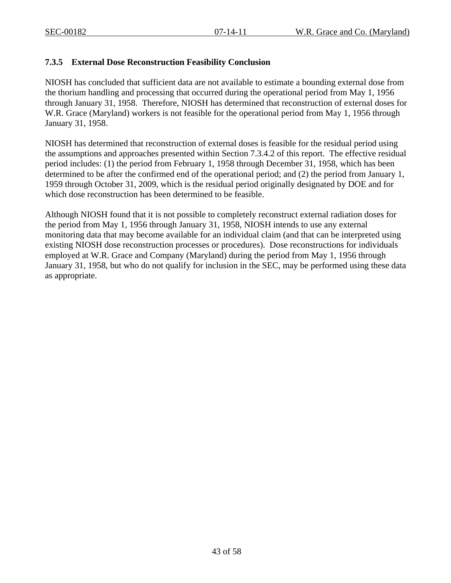#### <span id="page-42-0"></span>**7.3.5 External Dose Reconstruction Feasibility Conclusion**

NIOSH has concluded that sufficient data are not available to estimate a bounding external dose from the thorium handling and processing that occurred during the operational period from May 1, 1956 through January 31, 1958. Therefore, NIOSH has determined that reconstruction of external doses for W.R. Grace (Maryland) workers is not feasible for the operational period from May 1, 1956 through January 31, 1958.

NIOSH has determined that reconstruction of external doses is feasible for the residual period using the assumptions and approaches presented within Section 7.3.4.2 of this report. The effective residual period includes: (1) the period from February 1, 1958 through December 31, 1958, which has been determined to be after the confirmed end of the operational period; and (2) the period from January 1, 1959 through October 31, 2009, which is the residual period originally designated by DOE and for which dose reconstruction has been determined to be feasible.

Although NIOSH found that it is not possible to completely reconstruct external radiation doses for the period from May 1, 1956 through January 31, 1958, NIOSH intends to use any external monitoring data that may become available for an individual claim (and that can be interpreted using existing NIOSH dose reconstruction processes or procedures). Dose reconstructions for individuals employed at W.R. Grace and Company (Maryland) during the period from May 1, 1956 through January 31, 1958, but who do not qualify for inclusion in the SEC, may be performed using these data as appropriate.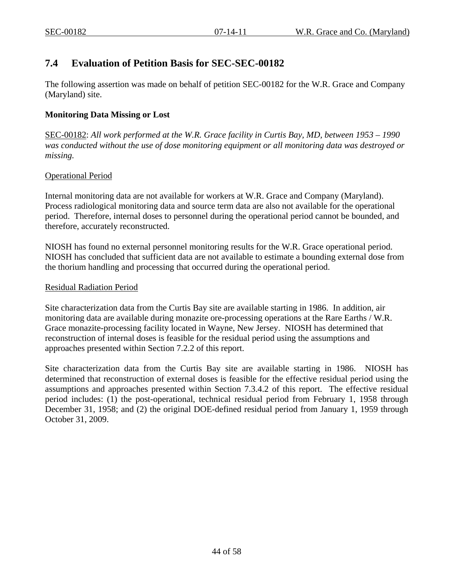## <span id="page-43-0"></span>**7.4 Evaluation of Petition Basis for SEC-SEC-00182**

The following assertion was made on behalf of petition SEC-00182 for the W.R. Grace and Company (Maryland) site.

#### **Monitoring Data Missing or Lost**

SEC-00182: *All work performed at the W.R. Grace facility in Curtis Bay, MD, between 1953 – 1990 was conducted without the use of dose monitoring equipment or all monitoring data was destroyed or missing.* 

#### Operational Period

Internal monitoring data are not available for workers at W.R. Grace and Company (Maryland). Process radiological monitoring data and source term data are also not available for the operational period. Therefore, internal doses to personnel during the operational period cannot be bounded, and therefore, accurately reconstructed.

NIOSH has found no external personnel monitoring results for the W.R. Grace operational period. NIOSH has concluded that sufficient data are not available to estimate a bounding external dose from the thorium handling and processing that occurred during the operational period.

#### Residual Radiation Period

Site characterization data from the Curtis Bay site are available starting in 1986. In addition, air monitoring data are available during monazite ore-processing operations at the Rare Earths / W.R. Grace monazite-processing facility located in Wayne, New Jersey. NIOSH has determined that reconstruction of internal doses is feasible for the residual period using the assumptions and approaches presented within Section 7.2.2 of this report.

Site characterization data from the Curtis Bay site are available starting in 1986. NIOSH has determined that reconstruction of external doses is feasible for the effective residual period using the assumptions and approaches presented within Section 7.3.4.2 of this report. The effective residual period includes: (1) the post-operational, technical residual period from February 1, 1958 through December 31, 1958; and (2) the original DOE-defined residual period from January 1, 1959 through October 31, 2009.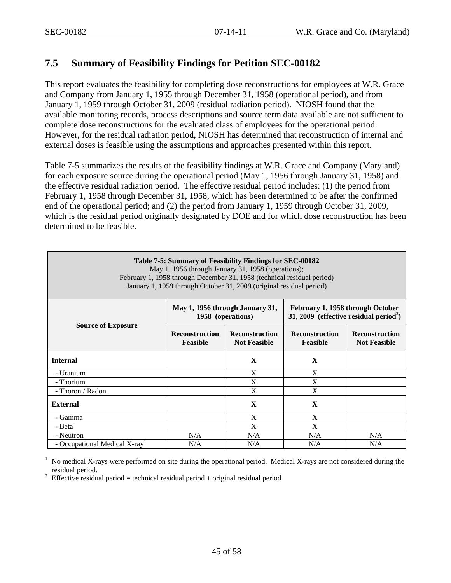## <span id="page-44-0"></span>**7.5 Summary of Feasibility Findings for Petition SEC-00182**

This report evaluates the feasibility for completing dose reconstructions for employees at W.R. Grace and Company from January 1, 1955 through December 31, 1958 (operational period), and from January 1, 1959 through October 31, 2009 (residual radiation period). NIOSH found that the available monitoring records, process descriptions and source term data available are not sufficient to complete dose reconstructions for the evaluated class of employees for the operational period. However, for the residual radiation period, NIOSH has determined that reconstruction of internal and external doses is feasible using the assumptions and approaches presented within this report.

Table 7-5 summarizes the results of the feasibility findings at W.R. Grace and Company (Maryland) for each exposure source during the operational period (May 1, 1956 through January 31, 1958) and the effective residual radiation period. The effective residual period includes: (1) the period from February 1, 1958 through December 31, 1958, which has been determined to be after the confirmed end of the operational period; and (2) the period from January 1, 1959 through October 31, 2009, which is the residual period originally designated by DOE and for which dose reconstruction has been determined to be feasible.

| Table 7-5: Summary of Feasibility Findings for SEC-00182<br>May 1, 1956 through January 31, 1958 (operations);<br>February 1, 1958 through December 31, 1958 (technical residual period)<br>January 1, 1959 through October 31, 2009 (original residual period) |                                                                                                                                                |                                              |                                          |                                              |
|-----------------------------------------------------------------------------------------------------------------------------------------------------------------------------------------------------------------------------------------------------------------|------------------------------------------------------------------------------------------------------------------------------------------------|----------------------------------------------|------------------------------------------|----------------------------------------------|
|                                                                                                                                                                                                                                                                 | May 1, 1956 through January 31,<br>February 1, 1958 through October<br>31, 2009 (effective residual period <sup>2</sup> )<br>1958 (operations) |                                              |                                          |                                              |
| <b>Source of Exposure</b>                                                                                                                                                                                                                                       | <b>Reconstruction</b><br><b>Feasible</b>                                                                                                       | <b>Reconstruction</b><br><b>Not Feasible</b> | <b>Reconstruction</b><br><b>Feasible</b> | <b>Reconstruction</b><br><b>Not Feasible</b> |
| <b>Internal</b>                                                                                                                                                                                                                                                 |                                                                                                                                                | $\mathbf{X}$                                 | $\mathbf{X}$                             |                                              |
| - Uranium                                                                                                                                                                                                                                                       |                                                                                                                                                | X                                            | X                                        |                                              |
| - Thorium                                                                                                                                                                                                                                                       |                                                                                                                                                | X                                            | X                                        |                                              |
| - Thoron / Radon                                                                                                                                                                                                                                                |                                                                                                                                                | X                                            | X                                        |                                              |
| <b>External</b>                                                                                                                                                                                                                                                 |                                                                                                                                                | X                                            | $\mathbf{X}$                             |                                              |
| - Gamma                                                                                                                                                                                                                                                         |                                                                                                                                                | X                                            | X                                        |                                              |
| - Beta                                                                                                                                                                                                                                                          |                                                                                                                                                | X                                            | X                                        |                                              |
| - Neutron                                                                                                                                                                                                                                                       | N/A                                                                                                                                            | N/A                                          | N/A                                      | N/A                                          |
| - Occupational Medical X-ray                                                                                                                                                                                                                                    | N/A                                                                                                                                            | N/A                                          | N/A                                      | N/A                                          |

 $1$  No medical X-rays were performed on site during the operational period. Medical X-rays are not considered during the residual period. 2 Effective residual period = technical residual period + original residual period.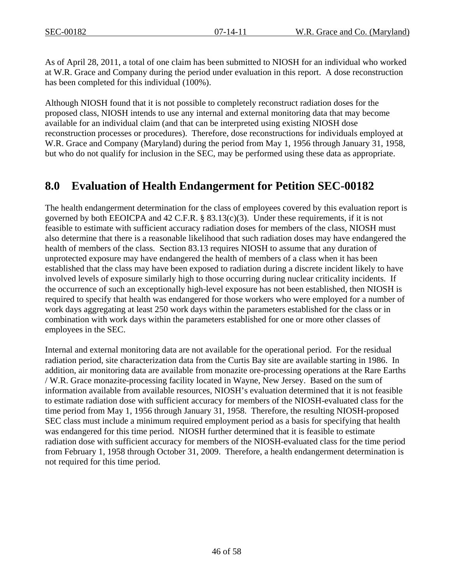<span id="page-45-0"></span>As of April 28, 2011, a total of one claim has been submitted to NIOSH for an individual who worked at W.R. Grace and Company during the period under evaluation in this report. A dose reconstruction has been completed for this individual (100%).

Although NIOSH found that it is not possible to completely reconstruct radiation doses for the proposed class, NIOSH intends to use any internal and external monitoring data that may become available for an individual claim (and that can be interpreted using existing NIOSH dose reconstruction processes or procedures). Therefore, dose reconstructions for individuals employed at W.R. Grace and Company (Maryland) during the period from May 1, 1956 through January 31, 1958, but who do not qualify for inclusion in the SEC, may be performed using these data as appropriate.

# **8.0 Evaluation of Health Endangerment for Petition SEC-00182**

The health endangerment determination for the class of employees covered by this evaluation report is governed by both EEOICPA and 42 C.F.R. § 83.13(c)(3). Under these requirements, if it is not feasible to estimate with sufficient accuracy radiation doses for members of the class, NIOSH must also determine that there is a reasonable likelihood that such radiation doses may have endangered the health of members of the class. Section 83.13 requires NIOSH to assume that any duration of unprotected exposure may have endangered the health of members of a class when it has been established that the class may have been exposed to radiation during a discrete incident likely to have involved levels of exposure similarly high to those occurring during nuclear criticality incidents. If the occurrence of such an exceptionally high-level exposure has not been established, then NIOSH is required to specify that health was endangered for those workers who were employed for a number of work days aggregating at least 250 work days within the parameters established for the class or in combination with work days within the parameters established for one or more other classes of employees in the SEC.

Internal and external monitoring data are not available for the operational period. For the residual radiation period, site characterization data from the Curtis Bay site are available starting in 1986. In addition, air monitoring data are available from monazite ore-processing operations at the Rare Earths / W.R. Grace monazite-processing facility located in Wayne, New Jersey. Based on the sum of information available from available resources, NIOSH's evaluation determined that it is not feasible to estimate radiation dose with sufficient accuracy for members of the NIOSH-evaluated class for the time period from May 1, 1956 through January 31, 1958. Therefore, the resulting NIOSH-proposed SEC class must include a minimum required employment period as a basis for specifying that health was endangered for this time period. NIOSH further determined that it is feasible to estimate radiation dose with sufficient accuracy for members of the NIOSH-evaluated class for the time period from February 1, 1958 through October 31, 2009. Therefore, a health endangerment determination is not required for this time period.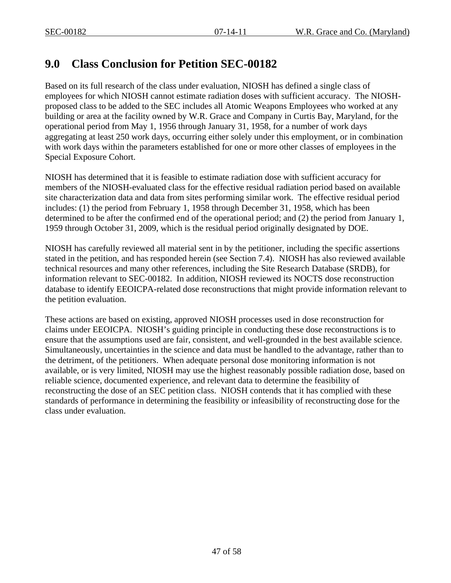# <span id="page-46-0"></span>**9.0 Class Conclusion for Petition SEC-00182**

Based on its full research of the class under evaluation, NIOSH has defined a single class of employees for which NIOSH cannot estimate radiation doses with sufficient accuracy. The NIOSHproposed class to be added to the SEC includes all Atomic Weapons Employees who worked at any building or area at the facility owned by W.R. Grace and Company in Curtis Bay, Maryland, for the operational period from May 1, 1956 through January 31, 1958, for a number of work days aggregating at least 250 work days, occurring either solely under this employment, or in combination with work days within the parameters established for one or more other classes of employees in the Special Exposure Cohort.

NIOSH has determined that it is feasible to estimate radiation dose with sufficient accuracy for members of the NIOSH-evaluated class for the effective residual radiation period based on available site characterization data and data from sites performing similar work. The effective residual period includes: (1) the period from February 1, 1958 through December 31, 1958, which has been determined to be after the confirmed end of the operational period; and (2) the period from January 1, 1959 through October 31, 2009, which is the residual period originally designated by DOE.

NIOSH has carefully reviewed all material sent in by the petitioner, including the specific assertions stated in the petition, and has responded herein (see Section 7.4). NIOSH has also reviewed available technical resources and many other references, including the Site Research Database (SRDB), for information relevant to SEC-00182. In addition, NIOSH reviewed its NOCTS dose reconstruction database to identify EEOICPA-related dose reconstructions that might provide information relevant to the petition evaluation.

These actions are based on existing, approved NIOSH processes used in dose reconstruction for claims under EEOICPA. NIOSH's guiding principle in conducting these dose reconstructions is to ensure that the assumptions used are fair, consistent, and well-grounded in the best available science. Simultaneously, uncertainties in the science and data must be handled to the advantage, rather than to the detriment, of the petitioners. When adequate personal dose monitoring information is not available, or is very limited, NIOSH may use the highest reasonably possible radiation dose, based on reliable science, documented experience, and relevant data to determine the feasibility of reconstructing the dose of an SEC petition class. NIOSH contends that it has complied with these standards of performance in determining the feasibility or infeasibility of reconstructing dose for the class under evaluation.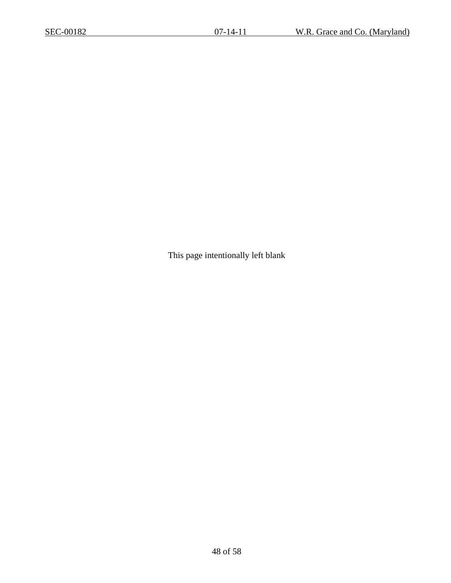This page intentionally left blank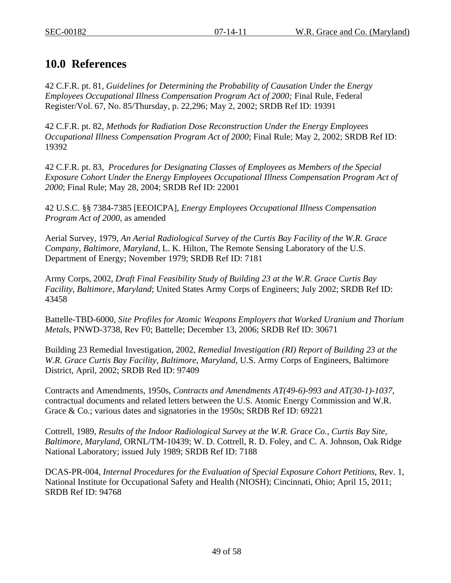# <span id="page-48-0"></span>**10.0 References**

42 C.F.R. pt. 81, *Guidelines for Determining the Probability of Causation Under the Energy Employees Occupational Illness Compensation Program Act of 2000;* Final Rule, Federal Register/Vol. 67, No. 85/Thursday, p. 22,296; May 2, 2002; SRDB Ref ID: 19391

42 C.F.R. pt. 82, *Methods for Radiation Dose Reconstruction Under the Energy Employees Occupational Illness Compensation Program Act of 2000*; Final Rule; May 2, 2002; SRDB Ref ID: 19392

42 C.F.R. pt. 83, *Procedures for Designating Classes of Employees as Members of the Special Exposure Cohort Under the Energy Employees Occupational Illness Compensation Program Act of 2000*; Final Rule; May 28, 2004; SRDB Ref ID: 22001

42 U.S.C. §§ 7384-7385 [EEOICPA], *Energy Employees Occupational Illness Compensation Program Act of 2000*, as amended

Aerial Survey, 1979, *An Aerial Radiological Survey of the Curtis Bay Facility of the W.R. Grace Company, Baltimore, Maryland*, L. K. Hilton, The Remote Sensing Laboratory of the U.S. Department of Energy; November 1979; SRDB Ref ID: 7181

Army Corps, 2002, *Draft Final Feasibility Study of Building 23 at the W.R. Grace Curtis Bay Facility, Baltimore, Maryland*; United States Army Corps of Engineers; July 2002; SRDB Ref ID: 43458

Battelle-TBD-6000, *Site Profiles for Atomic Weapons Employers that Worked Uranium and Thorium Metals*, PNWD-3738, Rev F0; Battelle; December 13, 2006; SRDB Ref ID: 30671

Building 23 Remedial Investigation, 2002, *Remedial Investigation (RI) Report of Building 23 at the W.R. Grace Curtis Bay Facility, Baltimore, Maryland,* U.S. Army Corps of Engineers, Baltimore District, April, 2002; SRDB Red ID: 97409

Contracts and Amendments, 1950s, *Contracts and Amendments AT(49-6)-993 and AT(30-1)-1037*, contractual documents and related letters between the U.S. Atomic Energy Commission and W.R. Grace & Co.; various dates and signatories in the 1950s; SRDB Ref ID: 69221

Cottrell, 1989*, Results of the Indoor Radiological Survey at the W.R. Grace Co., Curtis Bay Site, Baltimore, Maryland*, ORNL/TM-10439; W. D. Cottrell, R. D. Foley, and C. A. Johnson, Oak Ridge National Laboratory; issued July 1989; SRDB Ref ID: 7188

DCAS-PR-004, *Internal Procedures for the Evaluation of Special Exposure Cohort Petitions*, Rev. 1, National Institute for Occupational Safety and Health (NIOSH); Cincinnati, Ohio; April 15, 2011; SRDB Ref ID: 94768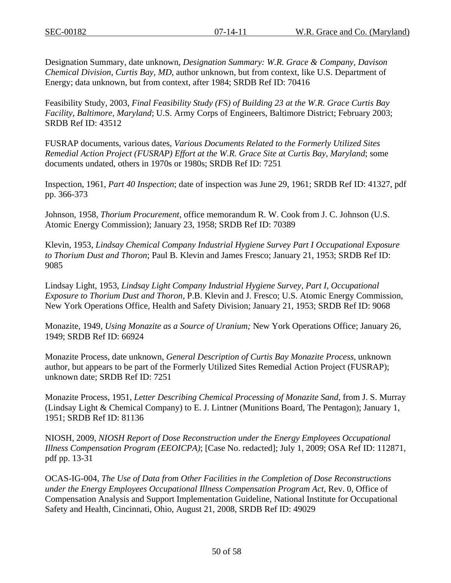Designation Summary, date unknown, *Designation Summary: W.R. Grace & Company, Davison Chemical Division, Curtis Bay, MD*, author unknown, but from context, like U.S. Department of Energy; data unknown, but from context, after 1984; SRDB Ref ID: 70416

Feasibility Study, 2003, *Final Feasibility Study (FS) of Building 23 at the W.R. Grace Curtis Bay Facility, Baltimore, Maryland*; U.S. Army Corps of Engineers, Baltimore District; February 2003; SRDB Ref ID: 43512

FUSRAP documents, various dates, *Various Documents Related to the Formerly Utilized Sites Remedial Action Project (FUSRAP) Effort at the W.R. Grace Site at Curtis Bay, Maryland*; some documents undated, others in 1970s or 1980s; SRDB Ref ID: 7251

Inspection, 1961, *Part 40 Inspection*; date of inspection was June 29, 1961; SRDB Ref ID: 41327, pdf pp. 366-373

Johnson, 1958, *Thorium Procurement*, office memorandum R. W. Cook from J. C. Johnson (U.S. Atomic Energy Commission); January 23, 1958; SRDB Ref ID: 70389

Klevin, 1953, *Lindsay Chemical Company Industrial Hygiene Survey Part I Occupational Exposure to Thorium Dust and Thoron*; Paul B. Klevin and James Fresco; January 21, 1953; SRDB Ref ID: 9085

Lindsay Light, 1953, *Lindsay Light Company Industrial Hygiene Survey, Part I, Occupational Exposure to Thorium Dust and Thoron*, P.B. Klevin and J. Fresco; U.S. Atomic Energy Commission, New York Operations Office, Health and Safety Division; January 21, 1953; SRDB Ref ID: 9068

Monazite, 1949, *Using Monazite as a Source of Uranium;* New York Operations Office; January 26, 1949; SRDB Ref ID: 66924

Monazite Process, date unknown, *General Description of Curtis Bay Monazite Process*, unknown author, but appears to be part of the Formerly Utilized Sites Remedial Action Project (FUSRAP); unknown date; SRDB Ref ID: 7251

Monazite Process, 1951, *Letter Describing Chemical Processing of Monazite Sand*, from J. S. Murray (Lindsay Light & Chemical Company) to E. J. Lintner (Munitions Board, The Pentagon); January 1, 1951; SRDB Ref ID: 81136

NIOSH, 2009, *NIOSH Report of Dose Reconstruction under the Energy Employees Occupational Illness Compensation Program (EEOICPA)*; [Case No. redacted]; July 1, 2009; OSA Ref ID: 112871, pdf pp. 13-31

OCAS-IG-004, *The Use of Data from Other Facilities in the Completion of Dose Reconstructions under the Energy Employees Occupational Illness Compensation Program Act*, Rev. 0, Office of Compensation Analysis and Support Implementation Guideline, National Institute for Occupational Safety and Health, Cincinnati, Ohio, August 21, 2008, SRDB Ref ID: 49029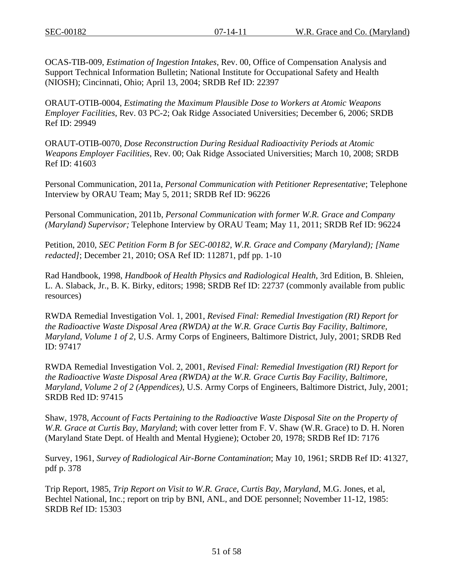OCAS-TIB-009, *Estimation of Ingestion Intakes*, Rev. 00, Office of Compensation Analysis and Support Technical Information Bulletin; National Institute for Occupational Safety and Health (NIOSH); Cincinnati, Ohio; April 13, 2004; SRDB Ref ID: 22397

ORAUT-OTIB-0004, *Estimating the Maximum Plausible Dose to Workers at Atomic Weapons Employer Facilities*, Rev. 03 PC-2; Oak Ridge Associated Universities; December 6, 2006; SRDB Ref ID: 29949

ORAUT-OTIB-0070, *Dose Reconstruction During Residual Radioactivity Periods at Atomic Weapons Employer Facilities*, Rev. 00; Oak Ridge Associated Universities; March 10, 2008; SRDB Ref ID: 41603

Personal Communication, 2011a, *Personal Communication with Petitioner Representative*; Telephone Interview by ORAU Team; May 5, 2011; SRDB Ref ID: 96226

Personal Communication, 2011b, *Personal Communication with former W.R. Grace and Company (Maryland) Supervisor;* Telephone Interview by ORAU Team; May 11, 2011; SRDB Ref ID: 96224

Petition, 2010, *SEC Petition Form B for SEC-00182, W.R. Grace and Company (Maryland); [Name redacted]*; December 21, 2010; OSA Ref ID: 112871, pdf pp. 1-10

Rad Handbook, 1998, *Handbook of Health Physics and Radiological Health*, 3rd Edition, B. Shleien, L. A. Slaback, Jr., B. K. Birky, editors; 1998; SRDB Ref ID: 22737 (commonly available from public resources)

RWDA Remedial Investigation Vol. 1, 2001, *Revised Final: Remedial Investigation (RI) Report for the Radioactive Waste Disposal Area (RWDA) at the W.R. Grace Curtis Bay Facility, Baltimore, Maryland, Volume 1 of 2*, U.S. Army Corps of Engineers, Baltimore District, July, 2001; SRDB Red ID: 97417

RWDA Remedial Investigation Vol. 2, 2001, *Revised Final: Remedial Investigation (RI) Report for the Radioactive Waste Disposal Area (RWDA) at the W.R. Grace Curtis Bay Facility, Baltimore, Maryland, Volume 2 of 2 (Appendices)*, U.S. Army Corps of Engineers, Baltimore District, July, 2001; SRDB Red ID: 97415

Shaw, 1978, *Account of Facts Pertaining to the Radioactive Waste Disposal Site on the Property of W.R. Grace at Curtis Bay, Maryland*; with cover letter from F. V. Shaw (W.R. Grace) to D. H. Noren (Maryland State Dept. of Health and Mental Hygiene); October 20, 1978; SRDB Ref ID: 7176

Survey, 1961, *Survey of Radiological Air-Borne Contamination*; May 10, 1961; SRDB Ref ID: 41327, pdf p. 378

Trip Report, 1985, *Trip Report on Visit to W.R. Grace, Curtis Bay, Maryland*, M.G. Jones, et al, Bechtel National, Inc.; report on trip by BNI, ANL, and DOE personnel; November 11-12, 1985: SRDB Ref ID: 15303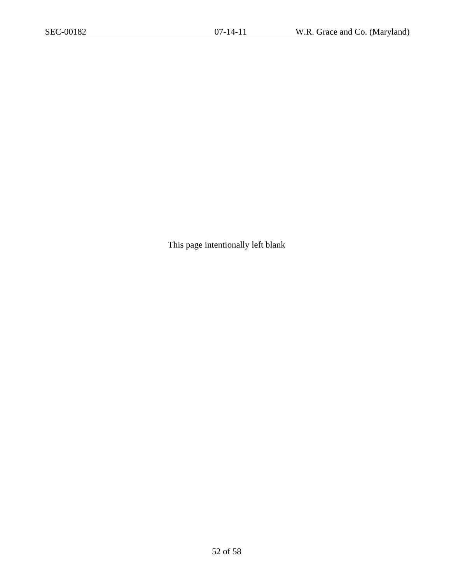This page intentionally left blank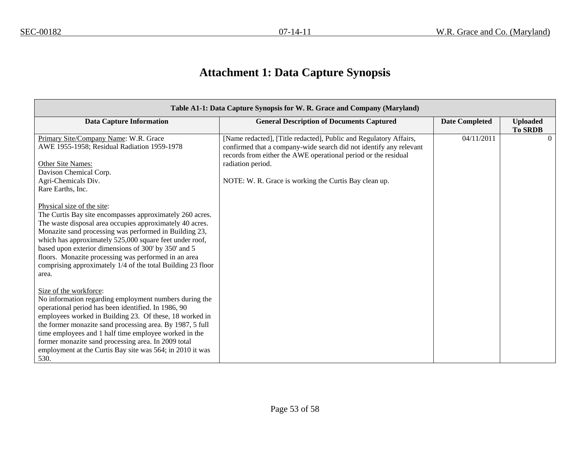# **Attachment 1: Data Capture Synopsis**

<span id="page-52-0"></span>

| Table A1-1: Data Capture Synopsis for W. R. Grace and Company (Maryland)                                                                                                                                                                                                                                                                                                                                                                                        |                                                                                                                                                                                                                                                                                         |                       |                                   |
|-----------------------------------------------------------------------------------------------------------------------------------------------------------------------------------------------------------------------------------------------------------------------------------------------------------------------------------------------------------------------------------------------------------------------------------------------------------------|-----------------------------------------------------------------------------------------------------------------------------------------------------------------------------------------------------------------------------------------------------------------------------------------|-----------------------|-----------------------------------|
| <b>Data Capture Information</b>                                                                                                                                                                                                                                                                                                                                                                                                                                 | <b>General Description of Documents Captured</b>                                                                                                                                                                                                                                        | <b>Date Completed</b> | <b>Uploaded</b><br><b>To SRDB</b> |
| Primary Site/Company Name: W.R. Grace<br>AWE 1955-1958; Residual Radiation 1959-1978<br>Other Site Names:<br>Davison Chemical Corp.<br>Agri-Chemicals Div.<br>Rare Earths, Inc.                                                                                                                                                                                                                                                                                 | [Name redacted], [Title redacted], Public and Regulatory Affairs,<br>confirmed that a company-wide search did not identify any relevant<br>records from either the AWE operational period or the residual<br>radiation period.<br>NOTE: W. R. Grace is working the Curtis Bay clean up. | 04/11/2011            | $\theta$                          |
| Physical size of the site:<br>The Curtis Bay site encompasses approximately 260 acres.<br>The waste disposal area occupies approximately 40 acres.<br>Monazite sand processing was performed in Building 23,<br>which has approximately 525,000 square feet under roof,<br>based upon exterior dimensions of 300' by 350' and 5<br>floors. Monazite processing was performed in an area<br>comprising approximately 1/4 of the total Building 23 floor<br>area. |                                                                                                                                                                                                                                                                                         |                       |                                   |
| Size of the workforce:<br>No information regarding employment numbers during the<br>operational period has been identified. In 1986, 90<br>employees worked in Building 23. Of these, 18 worked in<br>the former monazite sand processing area. By 1987, 5 full<br>time employees and 1 half time employee worked in the<br>former monazite sand processing area. In 2009 total<br>employment at the Curtis Bay site was 564; in 2010 it was<br>530.            |                                                                                                                                                                                                                                                                                         |                       |                                   |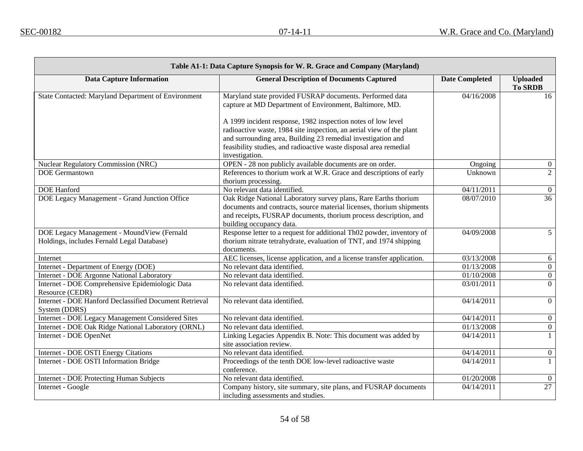| Table A1-1: Data Capture Synopsis for W. R. Grace and Company (Maryland)                 |                                                                                                                                                                                                                                                                                                                                                                                                                    |                       |                                   |
|------------------------------------------------------------------------------------------|--------------------------------------------------------------------------------------------------------------------------------------------------------------------------------------------------------------------------------------------------------------------------------------------------------------------------------------------------------------------------------------------------------------------|-----------------------|-----------------------------------|
| Data Capture Information<br><b>General Description of Documents Captured</b>             |                                                                                                                                                                                                                                                                                                                                                                                                                    | <b>Date Completed</b> | <b>Uploaded</b><br><b>To SRDB</b> |
| State Contacted: Maryland Department of Environment                                      | Maryland state provided FUSRAP documents. Performed data<br>capture at MD Department of Environment, Baltimore, MD.<br>A 1999 incident response, 1982 inspection notes of low level<br>radioactive waste, 1984 site inspection, an aerial view of the plant<br>and surrounding area, Building 23 remedial investigation and<br>feasibility studies, and radioactive waste disposal area remedial<br>investigation. | 04/16/2008            | 16                                |
| <b>Nuclear Regulatory Commission (NRC)</b>                                               | OPEN - 28 non publicly available documents are on order.                                                                                                                                                                                                                                                                                                                                                           | Ongoing               | $\overline{0}$                    |
| <b>DOE</b> Germantown                                                                    | References to thorium work at W.R. Grace and descriptions of early<br>thorium processing.                                                                                                                                                                                                                                                                                                                          | Unknown               | $\overline{2}$                    |
| <b>DOE</b> Hanford                                                                       | No relevant data identified.                                                                                                                                                                                                                                                                                                                                                                                       | 04/11/2011            | $\overline{0}$                    |
| DOE Legacy Management - Grand Junction Office                                            | Oak Ridge National Laboratory survey plans, Rare Earths thorium<br>documents and contracts, source material licenses, thorium shipments<br>and receipts, FUSRAP documents, thorium process description, and<br>building occupancy data.                                                                                                                                                                            | 08/07/2010            | 36                                |
| DOE Legacy Management - MoundView (Fernald<br>Holdings, includes Fernald Legal Database) | Response letter to a request for additional Th02 powder, inventory of<br>thorium nitrate tetrahydrate, evaluation of TNT, and 1974 shipping<br>documents.                                                                                                                                                                                                                                                          | 04/09/2008            | 5 <sup>5</sup>                    |
| Internet                                                                                 | AEC licenses, license application, and a license transfer application.                                                                                                                                                                                                                                                                                                                                             | 03/13/2008            | 6                                 |
| Internet - Department of Energy (DOE)                                                    | No relevant data identified.                                                                                                                                                                                                                                                                                                                                                                                       | 01/13/2008            | $\overline{0}$                    |
| <b>Internet - DOE Argonne National Laboratory</b>                                        | No relevant data identified.                                                                                                                                                                                                                                                                                                                                                                                       | 01/10/2008            | $\overline{0}$                    |
| Internet - DOE Comprehensive Epidemiologic Data<br>Resource (CEDR)                       | No relevant data identified.                                                                                                                                                                                                                                                                                                                                                                                       | 03/01/2011            | $\overline{0}$                    |
| Internet - DOE Hanford Declassified Document Retrieval<br>System (DDRS)                  | No relevant data identified.                                                                                                                                                                                                                                                                                                                                                                                       | 04/14/2011            | $\overline{0}$                    |
| Internet - DOE Legacy Management Considered Sites                                        | No relevant data identified.                                                                                                                                                                                                                                                                                                                                                                                       | 04/14/2011            | $\overline{0}$                    |
| Internet - DOE Oak Ridge National Laboratory (ORNL)                                      | No relevant data identified.                                                                                                                                                                                                                                                                                                                                                                                       | 01/13/2008            | $\overline{0}$                    |
| Internet - DOE OpenNet                                                                   | Linking Legacies Appendix B. Note: This document was added by<br>site association review.                                                                                                                                                                                                                                                                                                                          | 04/14/2011            | $\mathbf{1}$                      |
| Internet - DOE OSTI Energy Citations                                                     | No relevant data identified.                                                                                                                                                                                                                                                                                                                                                                                       | 04/14/2011            | $\overline{0}$                    |
| Internet - DOE OSTI Information Bridge                                                   | Proceedings of the tenth DOE low-level radioactive waste<br>conference.                                                                                                                                                                                                                                                                                                                                            | 04/14/2011            |                                   |
| <b>Internet - DOE Protecting Human Subjects</b>                                          | No relevant data identified.                                                                                                                                                                                                                                                                                                                                                                                       | 01/20/2008            | $\overline{0}$                    |
| Internet - Google                                                                        | Company history, site summary, site plans, and FUSRAP documents<br>including assessments and studies.                                                                                                                                                                                                                                                                                                              | 04/14/2011            | 27                                |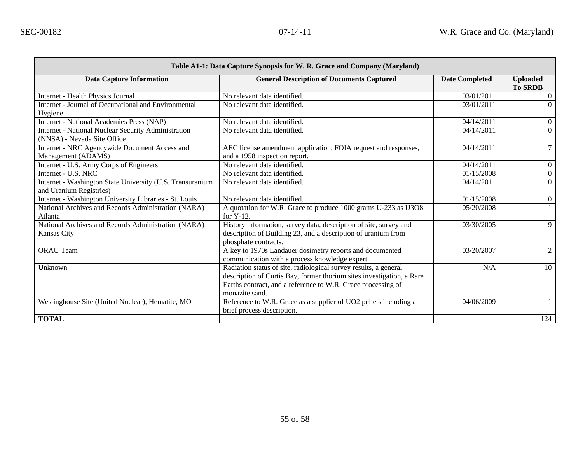| Table A1-1: Data Capture Synopsis for W. R. Grace and Company (Maryland)                  |                                                                                                                                                                                                                             |                       |                                   |
|-------------------------------------------------------------------------------------------|-----------------------------------------------------------------------------------------------------------------------------------------------------------------------------------------------------------------------------|-----------------------|-----------------------------------|
| <b>Data Capture Information</b>                                                           | <b>General Description of Documents Captured</b>                                                                                                                                                                            | <b>Date Completed</b> | <b>Uploaded</b><br><b>To SRDB</b> |
| Internet - Health Physics Journal                                                         | No relevant data identified.                                                                                                                                                                                                | 03/01/2011            | $\Omega$                          |
| Internet - Journal of Occupational and Environmental<br>Hygiene                           | No relevant data identified.                                                                                                                                                                                                | 03/01/2011            | $\theta$                          |
| Internet - National Academies Press (NAP)                                                 | No relevant data identified.                                                                                                                                                                                                | 04/14/2011            | $\overline{0}$                    |
| <b>Internet - National Nuclear Security Administration</b><br>(NNSA) - Nevada Site Office | No relevant data identified.                                                                                                                                                                                                | 04/14/2011            | $\Omega$                          |
| Internet - NRC Agencywide Document Access and<br>Management (ADAMS)                       | AEC license amendment application, FOIA request and responses,<br>and a 1958 inspection report.                                                                                                                             | 04/14/2011            | $7\overline{ }$                   |
| Internet - U.S. Army Corps of Engineers                                                   | No relevant data identified.                                                                                                                                                                                                | 04/14/2011            | $\overline{0}$                    |
| Internet - U.S. NRC                                                                       | No relevant data identified.                                                                                                                                                                                                | 01/15/2008            | $\overline{0}$                    |
| Internet - Washington State University (U.S. Transuranium<br>and Uranium Registries)      | No relevant data identified.                                                                                                                                                                                                | 04/14/2011            | $\Omega$                          |
| Internet - Washington University Libraries - St. Louis                                    | No relevant data identified.                                                                                                                                                                                                | 01/15/2008            | $\overline{0}$                    |
| National Archives and Records Administration (NARA)<br>Atlanta                            | A quotation for W.R. Grace to produce 1000 grams U-233 as U3O8<br>for $Y-12$ .                                                                                                                                              | 05/20/2008            |                                   |
| National Archives and Records Administration (NARA)<br>Kansas City                        | History information, survey data, description of site, survey and<br>description of Building 23, and a description of uranium from<br>phosphate contracts.                                                                  | 03/30/2005            | 9                                 |
| <b>ORAU</b> Team                                                                          | A key to 1970s Landauer dosimetry reports and documented<br>communication with a process knowledge expert.                                                                                                                  | 03/20/2007            | 2                                 |
| Unknown                                                                                   | Radiation status of site, radiological survey results, a general<br>description of Curtis Bay, former thorium sites investigation, a Rare<br>Earths contract, and a reference to W.R. Grace processing of<br>monazite sand. | N/A                   | 10                                |
| Westinghouse Site (United Nuclear), Hematite, MO                                          | Reference to W.R. Grace as a supplier of UO2 pellets including a<br>brief process description.                                                                                                                              | 04/06/2009            |                                   |
| <b>TOTAL</b>                                                                              |                                                                                                                                                                                                                             |                       | 124                               |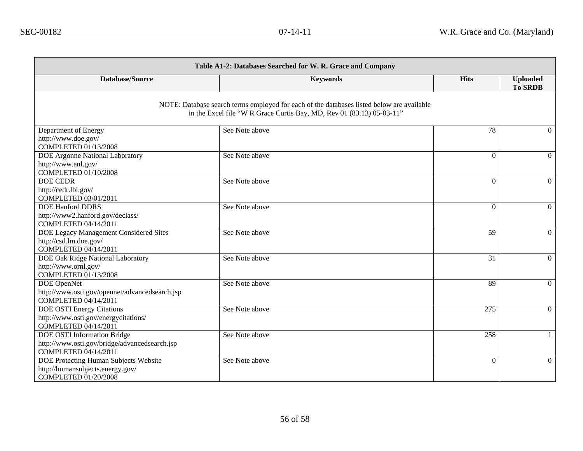| Table A1-2: Databases Searched for W. R. Grace and Company                                              |                                                                                                                                                                    |             |                                   |  |
|---------------------------------------------------------------------------------------------------------|--------------------------------------------------------------------------------------------------------------------------------------------------------------------|-------------|-----------------------------------|--|
| <b>Database/Source</b>                                                                                  | <b>Keywords</b>                                                                                                                                                    | <b>Hits</b> | <b>Uploaded</b><br><b>To SRDB</b> |  |
|                                                                                                         | NOTE: Database search terms employed for each of the databases listed below are available<br>in the Excel file "W R Grace Curtis Bay, MD, Rev 01 (83.13) 05-03-11" |             |                                   |  |
| Department of Energy<br>http://www.doe.gov/<br>COMPLETED 01/13/2008                                     | See Note above                                                                                                                                                     | 78          | $\overline{0}$                    |  |
| <b>DOE</b> Argonne National Laboratory<br>http://www.anl.gov/<br>COMPLETED 01/10/2008                   | See Note above                                                                                                                                                     | $\Omega$    | $\Omega$                          |  |
| <b>DOE CEDR</b><br>http://cedr.lbl.gov/<br>COMPLETED 03/01/2011                                         | See Note above                                                                                                                                                     | $\Omega$    | $\Omega$                          |  |
| <b>DOE Hanford DDRS</b><br>http://www2.hanford.gov/declass/<br><b>COMPLETED 04/14/2011</b>              | See Note above                                                                                                                                                     | $\Omega$    | $\Omega$                          |  |
| DOE Legacy Management Considered Sites<br>http://csd.lm.doe.gov/<br>COMPLETED 04/14/2011                | See Note above                                                                                                                                                     | 59          | $\overline{0}$                    |  |
| DOE Oak Ridge National Laboratory<br>http://www.ornl.gov/<br>COMPLETED 01/13/2008                       | See Note above                                                                                                                                                     | 31          | $\Omega$                          |  |
| <b>DOE</b> OpenNet<br>http://www.osti.gov/opennet/advancedsearch.jsp<br>COMPLETED 04/14/2011            | See Note above                                                                                                                                                     | 89          | $\overline{0}$                    |  |
| <b>DOE OSTI Energy Citations</b><br>http://www.osti.gov/energycitations/<br><b>COMPLETED 04/14/2011</b> | See Note above                                                                                                                                                     | 275         | $\Omega$                          |  |
| DOE OSTI Information Bridge<br>http://www.osti.gov/bridge/advancedsearch.jsp<br>COMPLETED 04/14/2011    | See Note above                                                                                                                                                     | 258         | 1                                 |  |
| DOE Protecting Human Subjects Website<br>http://humansubjects.energy.gov/<br>COMPLETED 01/20/2008       | See Note above                                                                                                                                                     | $\Omega$    | $\overline{0}$                    |  |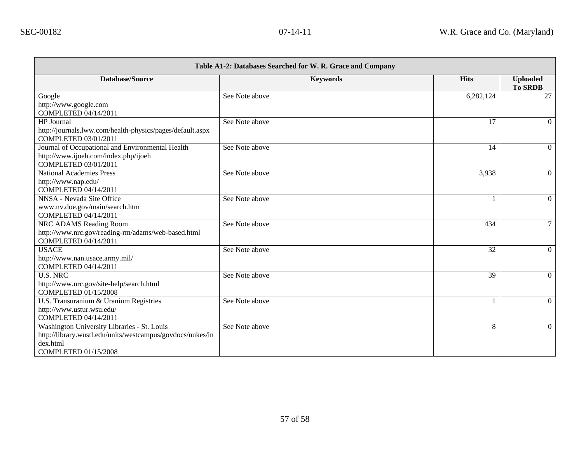| Table A1-2: Databases Searched for W. R. Grace and Company |                 |             |                                   |
|------------------------------------------------------------|-----------------|-------------|-----------------------------------|
| Database/Source                                            | <b>Keywords</b> | <b>Hits</b> | <b>Uploaded</b><br><b>To SRDB</b> |
| Google                                                     | See Note above  | 6,282,124   | 27                                |
| http://www.google.com                                      |                 |             |                                   |
| COMPLETED 04/14/2011                                       |                 |             |                                   |
| HP Journal                                                 | See Note above  | 17          | $\Omega$                          |
| http://journals.lww.com/health-physics/pages/default.aspx  |                 |             |                                   |
| COMPLETED 03/01/2011                                       |                 |             |                                   |
| Journal of Occupational and Environmental Health           | See Note above  | 14          | $\Omega$                          |
| http://www.ijoeh.com/index.php/ijoeh                       |                 |             |                                   |
| COMPLETED 03/01/2011                                       |                 |             |                                   |
| <b>National Academies Press</b>                            | See Note above  | 3,938       | $\theta$                          |
| http://www.nap.edu/                                        |                 |             |                                   |
| COMPLETED 04/14/2011                                       |                 |             |                                   |
| NNSA - Nevada Site Office                                  | See Note above  |             | $\theta$                          |
| www.nv.doe.gov/main/search.htm                             |                 |             |                                   |
| COMPLETED 04/14/2011                                       |                 |             |                                   |
| NRC ADAMS Reading Room                                     | See Note above  | 434         | 7                                 |
| http://www.nrc.gov/reading-rm/adams/web-based.html         |                 |             |                                   |
| COMPLETED 04/14/2011                                       |                 |             |                                   |
| <b>USACE</b>                                               | See Note above  | 32          | $\theta$                          |
| http://www.nan.usace.army.mil/                             |                 |             |                                   |
| COMPLETED 04/14/2011                                       |                 |             |                                   |
| <b>U.S. NRC</b>                                            | See Note above  | 39          | $\Omega$                          |
| http://www.nrc.gov/site-help/search.html                   |                 |             |                                   |
| COMPLETED 01/15/2008                                       |                 |             |                                   |
| U.S. Transuranium & Uranium Registries                     | See Note above  |             | $\Omega$                          |
| http://www.ustur.wsu.edu/                                  |                 |             |                                   |
| COMPLETED 04/14/2011                                       |                 |             |                                   |
| Washington University Libraries - St. Louis                | See Note above  | 8           | $\theta$                          |
| http://library.wustl.edu/units/westcampus/govdocs/nukes/in |                 |             |                                   |
| dex.html                                                   |                 |             |                                   |
| COMPLETED 01/15/2008                                       |                 |             |                                   |